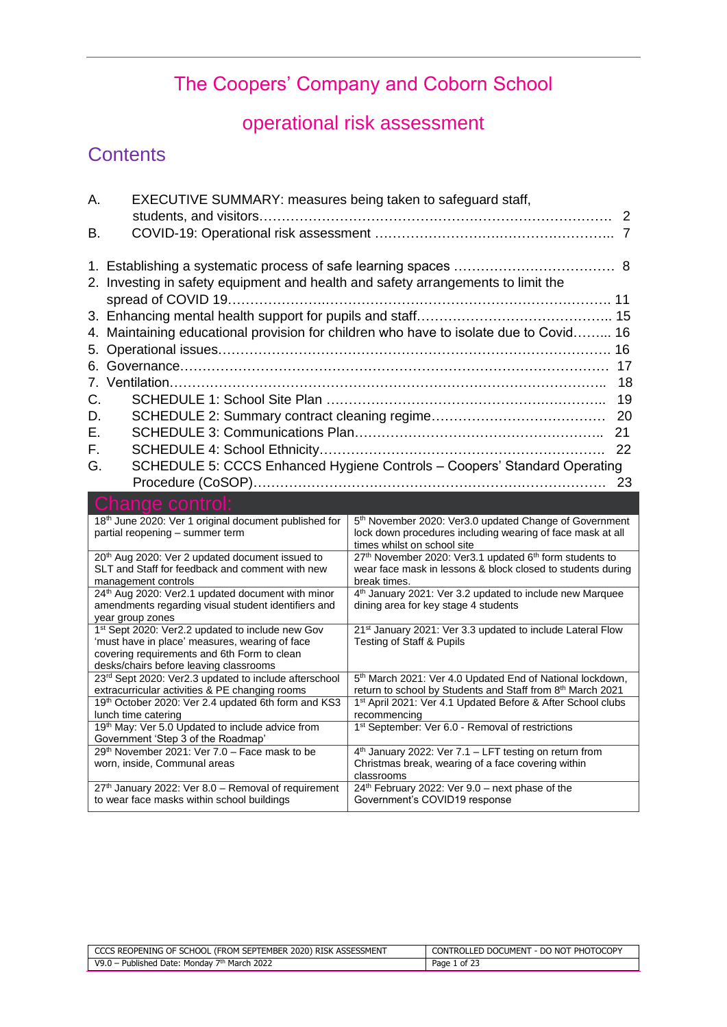## The Coopers' Company and Coborn School

## operational risk assessment

### **Contents**

| А.<br>EXECUTIVE SUMMARY: measures being taken to safeguard staff,                                                                                                                           |                                                                                                                                                                 |
|---------------------------------------------------------------------------------------------------------------------------------------------------------------------------------------------|-----------------------------------------------------------------------------------------------------------------------------------------------------------------|
|                                                                                                                                                                                             | 2                                                                                                                                                               |
| В.                                                                                                                                                                                          |                                                                                                                                                                 |
| 2. Investing in safety equipment and health and safety arrangements to limit the                                                                                                            |                                                                                                                                                                 |
| 6.                                                                                                                                                                                          | 4. Maintaining educational provision for children who have to isolate due to Covid 16<br>16<br>17                                                               |
| 7.                                                                                                                                                                                          | 18                                                                                                                                                              |
| C.<br>D.                                                                                                                                                                                    | 19<br>20                                                                                                                                                        |
| Ε.                                                                                                                                                                                          | 21                                                                                                                                                              |
| F.                                                                                                                                                                                          | 22                                                                                                                                                              |
| G.                                                                                                                                                                                          | SCHEDULE 5: CCCS Enhanced Hygiene Controls - Coopers' Standard Operating                                                                                        |
|                                                                                                                                                                                             | 23                                                                                                                                                              |
| Change control:                                                                                                                                                                             |                                                                                                                                                                 |
| 18 <sup>th</sup> June 2020: Ver 1 original document published for<br>partial reopening - summer term                                                                                        | 5 <sup>th</sup> November 2020: Ver3.0 updated Change of Government<br>lock down procedures including wearing of face mask at all<br>times whilst on school site |
| 20 <sup>th</sup> Aug 2020: Ver 2 updated document issued to<br>SLT and Staff for feedback and comment with new<br>management controls                                                       | 27 <sup>th</sup> November 2020: Ver3.1 updated 6 <sup>th</sup> form students to<br>wear face mask in lessons & block closed to students during<br>break times.  |
| 24 <sup>th</sup> Aug 2020: Ver2.1 updated document with minor<br>amendments regarding visual student identifiers and<br>year group zones                                                    | 4 <sup>th</sup> January 2021: Ver 3.2 updated to include new Marquee<br>dining area for key stage 4 students                                                    |
| 1st Sept 2020: Ver2.2 updated to include new Gov<br>'must have in place' measures, wearing of face<br>covering requirements and 6th Form to clean<br>desks/chairs before leaving classrooms | 21 <sup>st</sup> January 2021: Ver 3.3 updated to include Lateral Flow<br>Testing of Staff & Pupils                                                             |
| 23rd Sept 2020: Ver2.3 updated to include afterschool                                                                                                                                       | 5 <sup>th</sup> March 2021: Ver 4.0 Updated End of National lockdown,                                                                                           |
| extracurricular activities & PE changing rooms<br>19th October 2020: Ver 2.4 updated 6th form and KS3                                                                                       | return to school by Students and Staff from 8th March 2021<br>1st April 2021: Ver 4.1 Updated Before & After School clubs                                       |
| lunch time catering                                                                                                                                                                         | recommencing                                                                                                                                                    |
| 19th May: Ver 5.0 Updated to include advice from<br>Government 'Step 3 of the Roadmap'                                                                                                      | 1 <sup>st</sup> September: Ver 6.0 - Removal of restrictions                                                                                                    |
| 29th November 2021: Ver 7.0 - Face mask to be                                                                                                                                               | 4 <sup>th</sup> January 2022: Ver 7.1 - LFT testing on return from                                                                                              |
| worn, inside, Communal areas                                                                                                                                                                | Christmas break, wearing of a face covering within                                                                                                              |
| 27 <sup>th</sup> January 2022: Ver 8.0 - Removal of requirement<br>to wear face masks within school buildings                                                                               | classrooms<br>24 <sup>th</sup> February 2022: Ver 9.0 - next phase of the<br>Government's COVID19 response                                                      |

| CCCS REOPENING OF SCHOOL (FROM SEPTEMBER 2020) RISK ASSESSMENT | CONTROLLED DOCUMENT - DO NOT PHOTOCOPY |
|----------------------------------------------------------------|----------------------------------------|
| 2022<br>- Published Date: Mondav 7th March<br>$V9.0 -$ .       | 1 of 23<br>Page                        |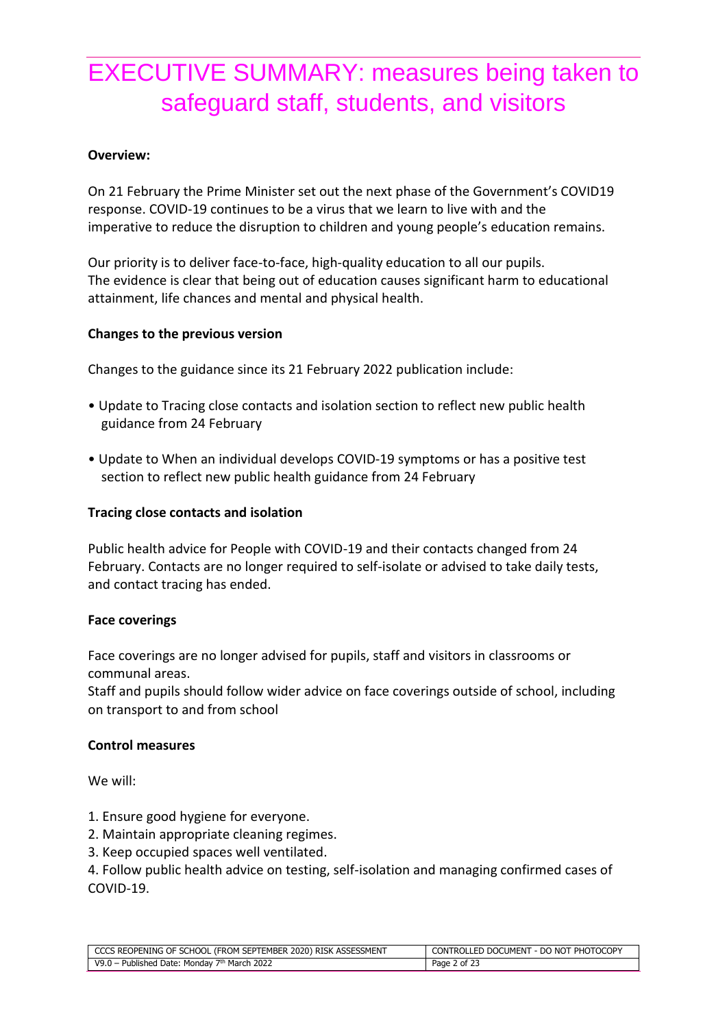# EXECUTIVE SUMMARY: measures being taken to safeguard staff, students, and visitors

#### **Overview:**

On 21 February the Prime Minister set out the next phase of the Government's COVID19 response. COVID-19 continues to be a virus that we learn to live with and the imperative to reduce the disruption to children and young people's education remains.

Our priority is to deliver face-to-face, high-quality education to all our pupils. The evidence is clear that being out of education causes significant harm to educational attainment, life chances and mental and physical health.

#### **Changes to the previous version**

Changes to the guidance since its 21 February 2022 publication include:

- Update to Tracing close contacts and isolation section to reflect new public health guidance from 24 February
- Update to When an individual develops COVID-19 symptoms or has a positive test section to reflect new public health guidance from 24 February

#### **Tracing close contacts and isolation**

Public health advice for People with COVID-19 and their contacts changed from 24 February. Contacts are no longer required to self-isolate or advised to take daily tests, and contact tracing has ended.

#### **Face coverings**

Face coverings are no longer advised for pupils, staff and visitors in classrooms or communal areas.

Staff and pupils should follow wider advice on face coverings outside of school, including on transport to and from school

#### **Control measures**

We will:

- 1. Ensure good hygiene for everyone.
- 2. Maintain appropriate cleaning regimes.
- 3. Keep occupied spaces well ventilated.

4. Follow public health advice on testing, self-isolation and managing confirmed cases of COVID-19.

| CCCS REOPENING OF SCHOOL (FROM SEPTEMBER 2020) RISK ASSESSMENT | CONTROLLED DOCUMENT - DO NOT PHOTOCOPY |
|----------------------------------------------------------------|----------------------------------------|
| V9.0 - Published Date: Monday 7th March 2022                   | Page 2 of 23                           |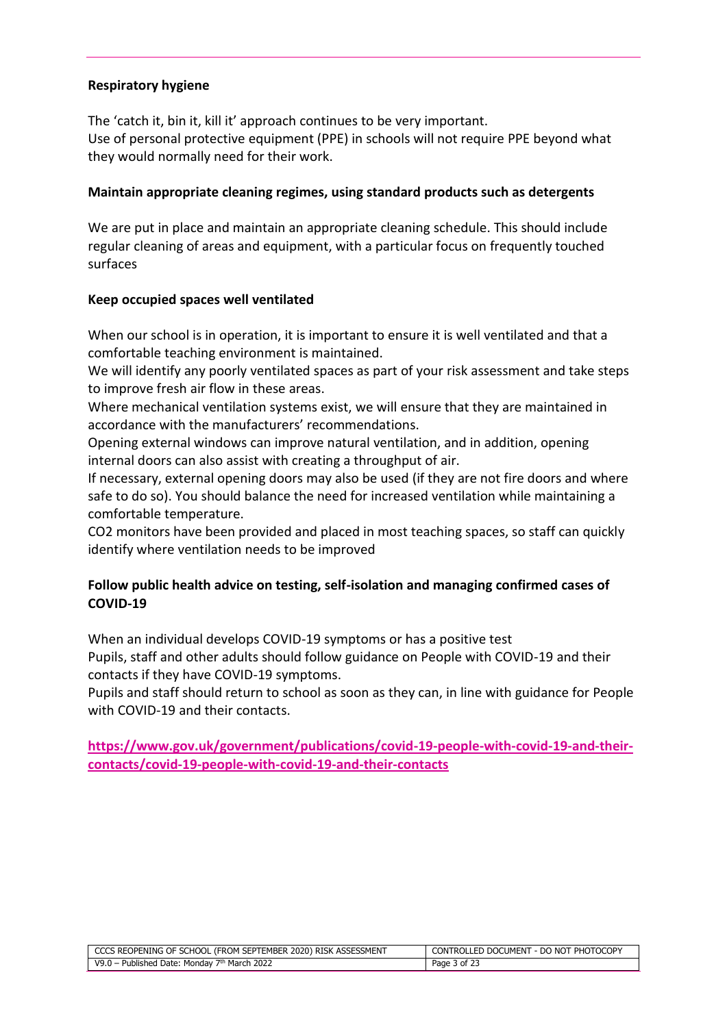#### **Respiratory hygiene**

The 'catch it, bin it, kill it' approach continues to be very important. Use of personal protective equipment (PPE) in schools will not require PPE beyond what they would normally need for their work.

#### **Maintain appropriate cleaning regimes, using standard products such as detergents**

We are put in place and maintain an appropriate cleaning schedule. This should include regular cleaning of areas and equipment, with a particular focus on frequently touched surfaces

#### **Keep occupied spaces well ventilated**

When our school is in operation, it is important to ensure it is well ventilated and that a comfortable teaching environment is maintained.

We will identify any poorly ventilated spaces as part of your risk assessment and take steps to improve fresh air flow in these areas.

Where mechanical ventilation systems exist, we will ensure that they are maintained in accordance with the manufacturers' recommendations.

Opening external windows can improve natural ventilation, and in addition, opening internal doors can also assist with creating a throughput of air.

If necessary, external opening doors may also be used (if they are not fire doors and where safe to do so). You should balance the need for increased ventilation while maintaining a comfortable temperature.

CO2 monitors have been provided and placed in most teaching spaces, so staff can quickly identify where ventilation needs to be improved

#### **Follow public health advice on testing, self-isolation and managing confirmed cases of COVID-19**

When an individual develops COVID-19 symptoms or has a positive test Pupils, staff and other adults should follow guidance on People with COVID-19 and their contacts if they have COVID-19 symptoms.

Pupils and staff should return to school as soon as they can, in line with guidance for People with COVID-19 and their contacts.

**[https://www.gov.uk/government/publications/covid-19-people-with-covid-19-and-their](https://www.gov.uk/government/publications/covid-19-people-with-covid-19-and-their-contacts/covid-19-people-with-covid-19-and-their-contacts)[contacts/covid-19-people-with-covid-19-and-their-contacts](https://www.gov.uk/government/publications/covid-19-people-with-covid-19-and-their-contacts/covid-19-people-with-covid-19-and-their-contacts)**

| CCCS REOPENING OF SCHOOL (FROM SEPTEMBER 2020) RISK ASSESSMENT | CONTROLLED DOCUMENT - DO NOT PHOTOCOPY |
|----------------------------------------------------------------|----------------------------------------|
| V9.0 – Published Date: Mondav $7th$ March 2022                 | Page 3 of 23                           |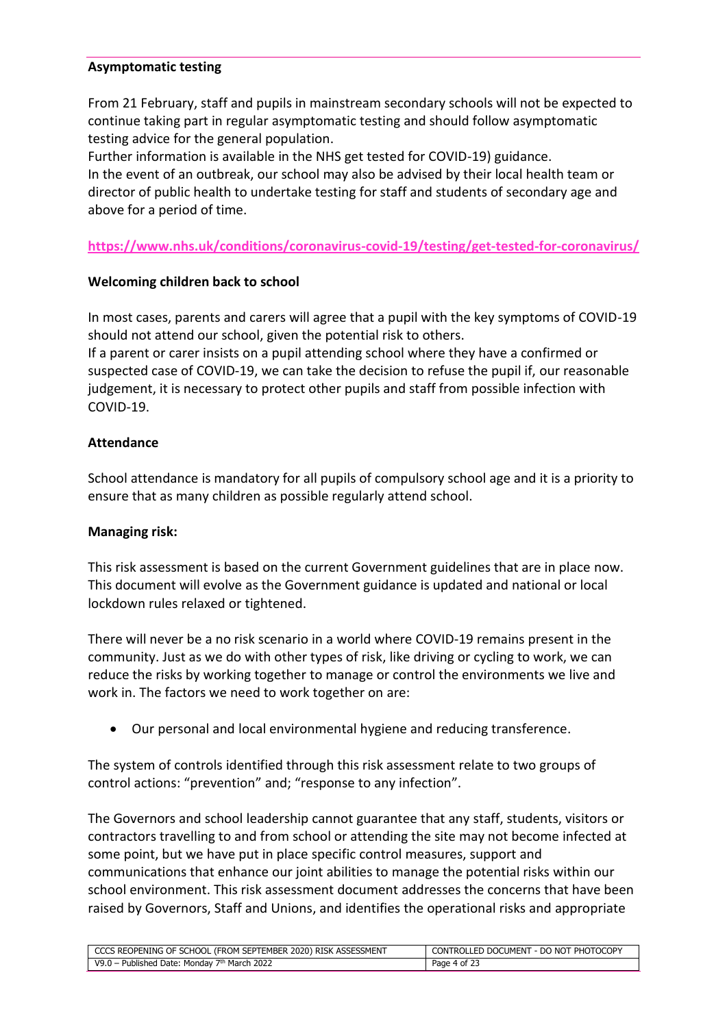#### **Asymptomatic testing**

From 21 February, staff and pupils in mainstream secondary schools will not be expected to continue taking part in regular asymptomatic testing and should follow asymptomatic testing advice for the general population.

Further information is available in the NHS get tested for COVID-19) guidance. In the event of an outbreak, our school may also be advised by their local health team or director of public health to undertake testing for staff and students of secondary age and above for a period of time.

#### **<https://www.nhs.uk/conditions/coronavirus-covid-19/testing/get-tested-for-coronavirus/>**

#### **Welcoming children back to school**

In most cases, parents and carers will agree that a pupil with the key symptoms of COVID-19 should not attend our school, given the potential risk to others.

If a parent or carer insists on a pupil attending school where they have a confirmed or suspected case of COVID-19, we can take the decision to refuse the pupil if, our reasonable judgement, it is necessary to protect other pupils and staff from possible infection with COVID-19.

#### **Attendance**

School attendance is mandatory for all pupils of compulsory school age and it is a priority to ensure that as many children as possible regularly attend school.

#### **Managing risk:**

This risk assessment is based on the current Government guidelines that are in place now. This document will evolve as the Government guidance is updated and national or local lockdown rules relaxed or tightened.

There will never be a no risk scenario in a world where COVID-19 remains present in the community. Just as we do with other types of risk, like driving or cycling to work, we can reduce the risks by working together to manage or control the environments we live and work in. The factors we need to work together on are:

• Our personal and local environmental hygiene and reducing transference.

The system of controls identified through this risk assessment relate to two groups of control actions: "prevention" and; "response to any infection".

The Governors and school leadership cannot guarantee that any staff, students, visitors or contractors travelling to and from school or attending the site may not become infected at some point, but we have put in place specific control measures, support and communications that enhance our joint abilities to manage the potential risks within our school environment. This risk assessment document addresses the concerns that have been raised by Governors, Staff and Unions, and identifies the operational risks and appropriate

| CCCS REOPENING OF SCHOOL (FROM SEPTEMBER 2020) RISK ASSESSMENT | CONTROLLED DOCUMENT - DO NOT PHOTOCOPY |
|----------------------------------------------------------------|----------------------------------------|
| - Published Date: Mondav 7th March 2022<br>$V9.0 -$ .          | Page 4 of 23                           |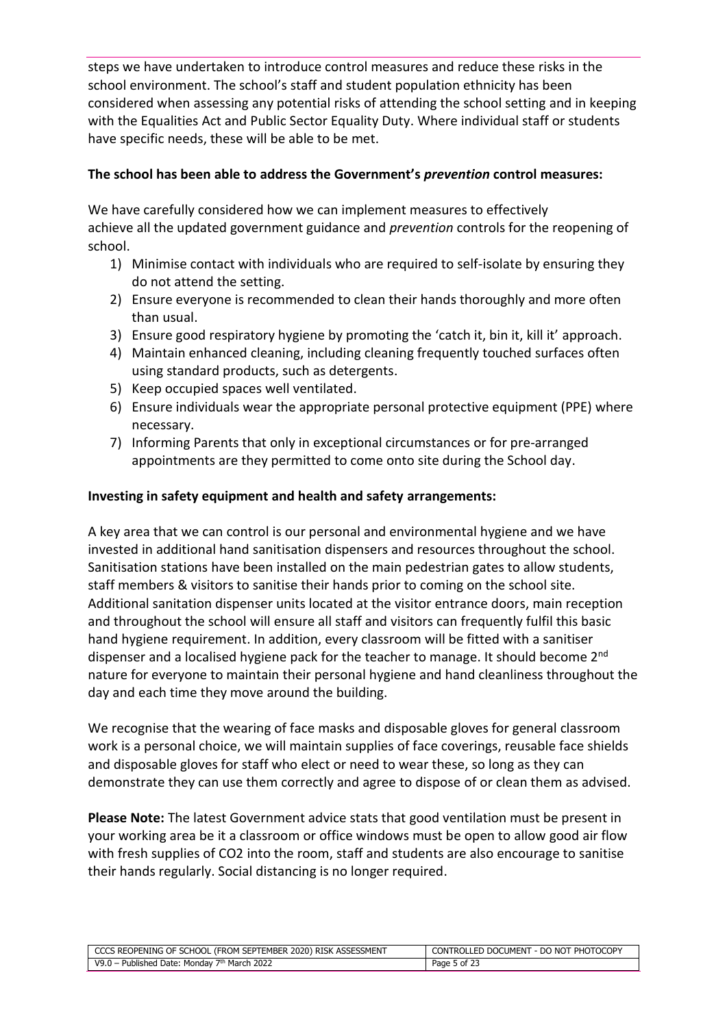steps we have undertaken to introduce control measures and reduce these risks in the school environment. The school's staff and student population ethnicity has been considered when assessing any potential risks of attending the school setting and in keeping with the Equalities Act and Public Sector Equality Duty. Where individual staff or students have specific needs, these will be able to be met.

#### **The school has been able to address the Government's** *prevention* **control measures:**

We have carefully considered how we can implement measures to effectively achieve all the updated government guidance and *prevention* controls for the reopening of school.

- 1) Minimise contact with individuals who are required to self-isolate by ensuring they do not attend the setting.
- 2) Ensure everyone is recommended to clean their hands thoroughly and more often than usual.
- 3) Ensure good respiratory hygiene by promoting the 'catch it, bin it, kill it' approach.
- 4) Maintain enhanced cleaning, including cleaning frequently touched surfaces often using standard products, such as detergents.
- 5) Keep occupied spaces well ventilated.
- 6) Ensure individuals wear the appropriate personal protective equipment (PPE) where necessary.
- 7) Informing Parents that only in exceptional circumstances or for pre-arranged appointments are they permitted to come onto site during the School day.

#### **Investing in safety equipment and health and safety arrangements:**

A key area that we can control is our personal and environmental hygiene and we have invested in additional hand sanitisation dispensers and resources throughout the school. Sanitisation stations have been installed on the main pedestrian gates to allow students, staff members & visitors to sanitise their hands prior to coming on the school site. Additional sanitation dispenser units located at the visitor entrance doors, main reception and throughout the school will ensure all staff and visitors can frequently fulfil this basic hand hygiene requirement. In addition, every classroom will be fitted with a sanitiser dispenser and a localised hygiene pack for the teacher to manage. It should become 2<sup>nd</sup> nature for everyone to maintain their personal hygiene and hand cleanliness throughout the day and each time they move around the building.

We recognise that the wearing of face masks and disposable gloves for general classroom work is a personal choice, we will maintain supplies of face coverings, reusable face shields and disposable gloves for staff who elect or need to wear these, so long as they can demonstrate they can use them correctly and agree to dispose of or clean them as advised.

**Please Note:** The latest Government advice stats that good ventilation must be present in your working area be it a classroom or office windows must be open to allow good air flow with fresh supplies of CO2 into the room, staff and students are also encourage to sanitise their hands regularly. Social distancing is no longer required.

| CCCS REOPENING OF SCHOOL (FROM SEPTEMBER 2020) RISK ASSESSMENT | CONTROLLED DOCUMENT - DO NOT PHOTOCOPY |
|----------------------------------------------------------------|----------------------------------------|
| V9.0 – Published Date: Monday $7th$ March 2022                 | Page 5 of 23                           |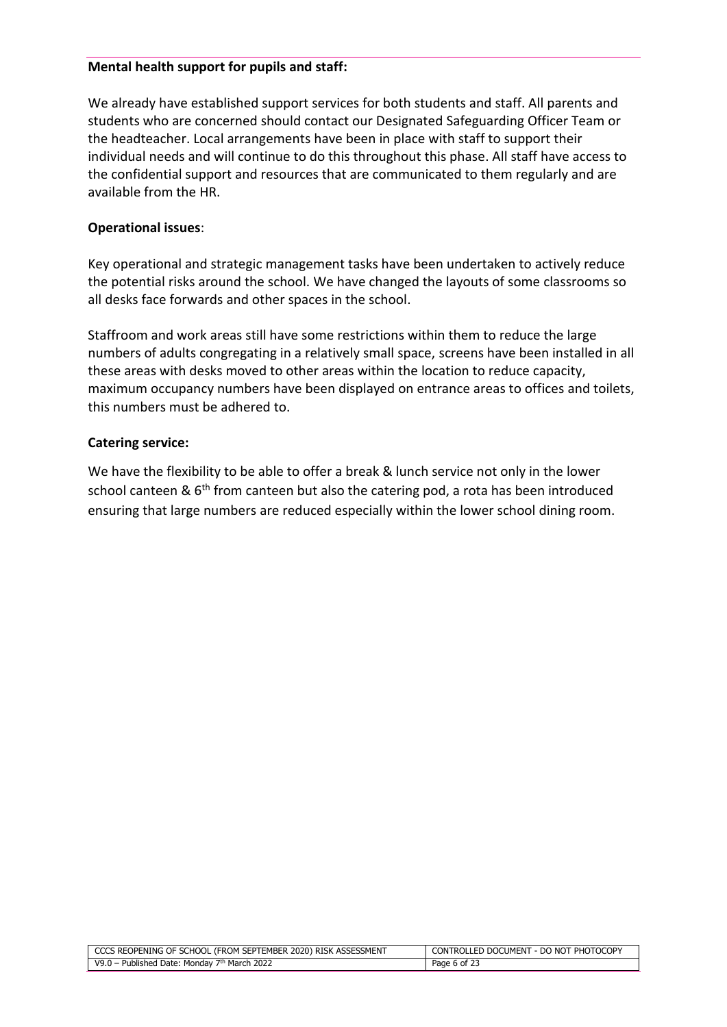#### **Mental health support for pupils and staff:**

We already have established support services for both students and staff. All parents and students who are concerned should contact our Designated Safeguarding Officer Team or the headteacher. Local arrangements have been in place with staff to support their individual needs and will continue to do this throughout this phase. All staff have access to the confidential support and resources that are communicated to them regularly and are available from the HR.

#### **Operational issues**:

Key operational and strategic management tasks have been undertaken to actively reduce the potential risks around the school. We have changed the layouts of some classrooms so all desks face forwards and other spaces in the school.

Staffroom and work areas still have some restrictions within them to reduce the large numbers of adults congregating in a relatively small space, screens have been installed in all these areas with desks moved to other areas within the location to reduce capacity, maximum occupancy numbers have been displayed on entrance areas to offices and toilets, this numbers must be adhered to.

#### **Catering service:**

We have the flexibility to be able to offer a break & lunch service not only in the lower school canteen &  $6<sup>th</sup>$  from canteen but also the catering pod, a rota has been introduced ensuring that large numbers are reduced especially within the lower school dining room.

| CCCS REOPENING OF SCHOOL (FROM SEPTEMBER 2020) RISK ASSESSMENT | CONTROLLED DOCUMENT - DO NOT PHOTOCOPY |
|----------------------------------------------------------------|----------------------------------------|
| V9.0 – Published Date: Monday $7th$ March 2022                 | Page 6 of 23                           |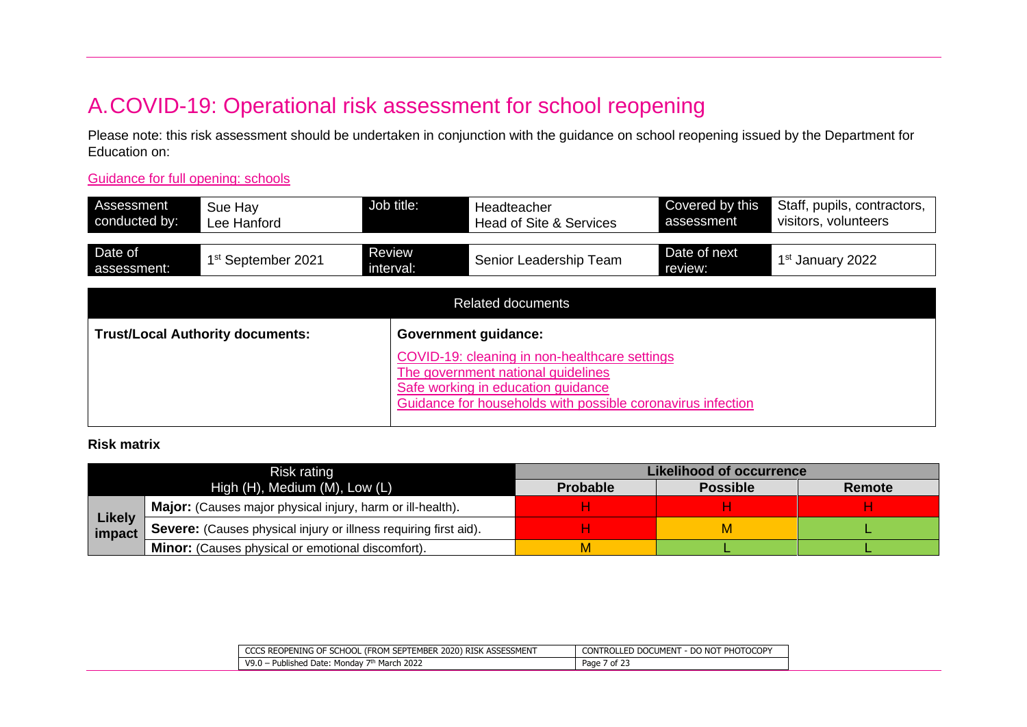## A.COVID-19: Operational risk assessment for school reopening

Please note: this risk assessment should be undertaken in conjunction with the guidance on school reopening issued by the Department for Education on:

[Guidance for full opening: schools](https://www.gov.uk/government/publications/actions-for-schools-during-the-coronavirus-outbreak/guidance-for-full-opening-schools)

| Assessment<br>conducted by: | Sue Hay<br>Lee Hanford                  | Job title:                                                                                                                                                                               | Headteacher<br>Head of Site & Services | Covered by this<br>assessment | Staff, pupils, contractors,<br>visitors, volunteers |
|-----------------------------|-----------------------------------------|------------------------------------------------------------------------------------------------------------------------------------------------------------------------------------------|----------------------------------------|-------------------------------|-----------------------------------------------------|
| Date of<br>assessment:      | 1 <sup>st</sup> September 2021          | Review<br>interval:                                                                                                                                                                      | Senior Leadership Team                 | Date of next<br>review:       | 1 <sup>st</sup> January 2022                        |
|                             |                                         |                                                                                                                                                                                          | <b>Related documents</b>               |                               |                                                     |
|                             | <b>Trust/Local Authority documents:</b> |                                                                                                                                                                                          | <b>Government guidance:</b>            |                               |                                                     |
|                             |                                         | COVID-19: cleaning in non-healthcare settings<br>The government national guidelines<br>Safe working in education guidance<br>Guidance for households with possible coronavirus infection |                                        |                               |                                                     |

#### **Risk matrix**

| Risk rating                                                |                                                                  | Likelihood of occurrence |                 |        |  |
|------------------------------------------------------------|------------------------------------------------------------------|--------------------------|-----------------|--------|--|
| High $(H)$ , Medium $(M)$ , Low $(L)$                      |                                                                  | <b>Probable</b>          | <b>Possible</b> | Remote |  |
| Major: (Causes major physical injury, harm or ill-health). |                                                                  |                          |                 |        |  |
| <b>Likely</b><br>impact                                    | Severe: (Causes physical injury or illness requiring first aid). |                          |                 |        |  |
|                                                            | <b>Minor:</b> (Causes physical or emotional discomfort).         |                          |                 |        |  |

| <b>ASSESSMENT</b><br>1 SEPTEMBER 2020)<br>(FROM SEPTE<br>CCCS REOPENING OF SCHOOL<br>) risk | - DO NOT PHOTOCOPY<br><b>CONTROLLED DOCUMENT</b> |
|---------------------------------------------------------------------------------------------|--------------------------------------------------|
| <sup>th</sup> March 2022<br>V9.0 -<br>- Published Date:<br>، Mondav ،                       | Page<br>د of 2'                                  |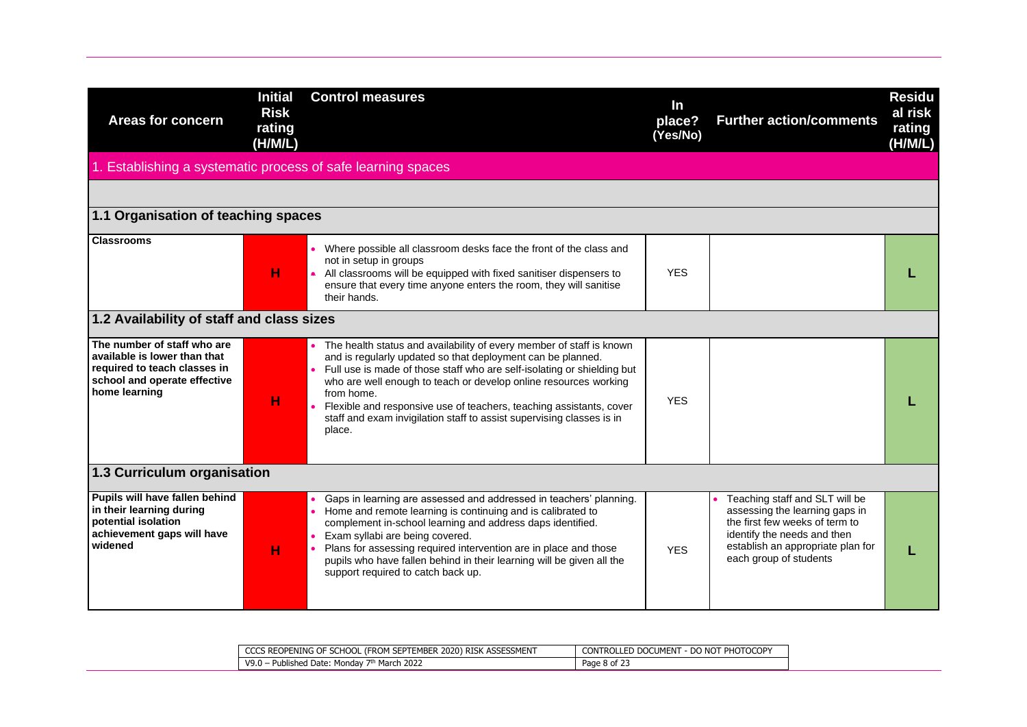| <b>Areas for concern</b>                                                                                                                     | <b>Initial</b><br><b>Risk</b><br>rating<br>(H/M/L) | <b>Control measures</b>                                                                                                                                                                                                                                                                                                                                                                                                                                      | $\ln$<br>place?<br>(Yes/No) | <b>Further action/comments</b>                                                                                                                                                                   | <b>Residu</b><br>al risk<br>rating<br>(H/M/L) |
|----------------------------------------------------------------------------------------------------------------------------------------------|----------------------------------------------------|--------------------------------------------------------------------------------------------------------------------------------------------------------------------------------------------------------------------------------------------------------------------------------------------------------------------------------------------------------------------------------------------------------------------------------------------------------------|-----------------------------|--------------------------------------------------------------------------------------------------------------------------------------------------------------------------------------------------|-----------------------------------------------|
| 1. Establishing a systematic process of safe learning spaces                                                                                 |                                                    |                                                                                                                                                                                                                                                                                                                                                                                                                                                              |                             |                                                                                                                                                                                                  |                                               |
|                                                                                                                                              |                                                    |                                                                                                                                                                                                                                                                                                                                                                                                                                                              |                             |                                                                                                                                                                                                  |                                               |
| 1.1 Organisation of teaching spaces                                                                                                          |                                                    |                                                                                                                                                                                                                                                                                                                                                                                                                                                              |                             |                                                                                                                                                                                                  |                                               |
| <b>Classrooms</b>                                                                                                                            | н                                                  | • Where possible all classroom desks face the front of the class and<br>not in setup in groups<br>• All classrooms will be equipped with fixed sanitiser dispensers to<br>ensure that every time anyone enters the room, they will sanitise<br>their hands.                                                                                                                                                                                                  | <b>YES</b>                  |                                                                                                                                                                                                  |                                               |
| 1.2 Availability of staff and class sizes                                                                                                    |                                                    |                                                                                                                                                                                                                                                                                                                                                                                                                                                              |                             |                                                                                                                                                                                                  |                                               |
| The number of staff who are<br>available is lower than that<br>required to teach classes in<br>school and operate effective<br>home learning | н                                                  | • The health status and availability of every member of staff is known<br>and is regularly updated so that deployment can be planned.<br>Full use is made of those staff who are self-isolating or shielding but<br>who are well enough to teach or develop online resources working<br>from home.<br>Flexible and responsive use of teachers, teaching assistants, cover<br>staff and exam invigilation staff to assist supervising classes is in<br>place. | <b>YES</b>                  |                                                                                                                                                                                                  |                                               |
| 1.3 Curriculum organisation                                                                                                                  |                                                    |                                                                                                                                                                                                                                                                                                                                                                                                                                                              |                             |                                                                                                                                                                                                  |                                               |
| Pupils will have fallen behind<br>in their learning during<br>potential isolation<br>achievement gaps will have<br>widened                   | н                                                  | • Gaps in learning are assessed and addressed in teachers' planning.<br>• Home and remote learning is continuing and is calibrated to<br>complement in-school learning and address daps identified.<br>Exam syllabi are being covered.<br>Plans for assessing required intervention are in place and those<br>pupils who have fallen behind in their learning will be given all the<br>support required to catch back up.                                    | <b>YES</b>                  | Teaching staff and SLT will be<br>assessing the learning gaps in<br>the first few weeks of term to<br>identify the needs and then<br>establish an appropriate plan for<br>each group of students |                                               |

| CCCS REOPENING OF SCHOOL (FROM SEPTEMBER 2020) RISK ASSESSMENT  | <b>i</b> - DO NOT PHOTOCOPY<br><b>CONTROLLED DOCUMENT</b> |
|-----------------------------------------------------------------|-----------------------------------------------------------|
| 1 - Published Date: Monday 7 <sup>th</sup> March 2022<br>V9.0 - | Page 8 of $\angle$                                        |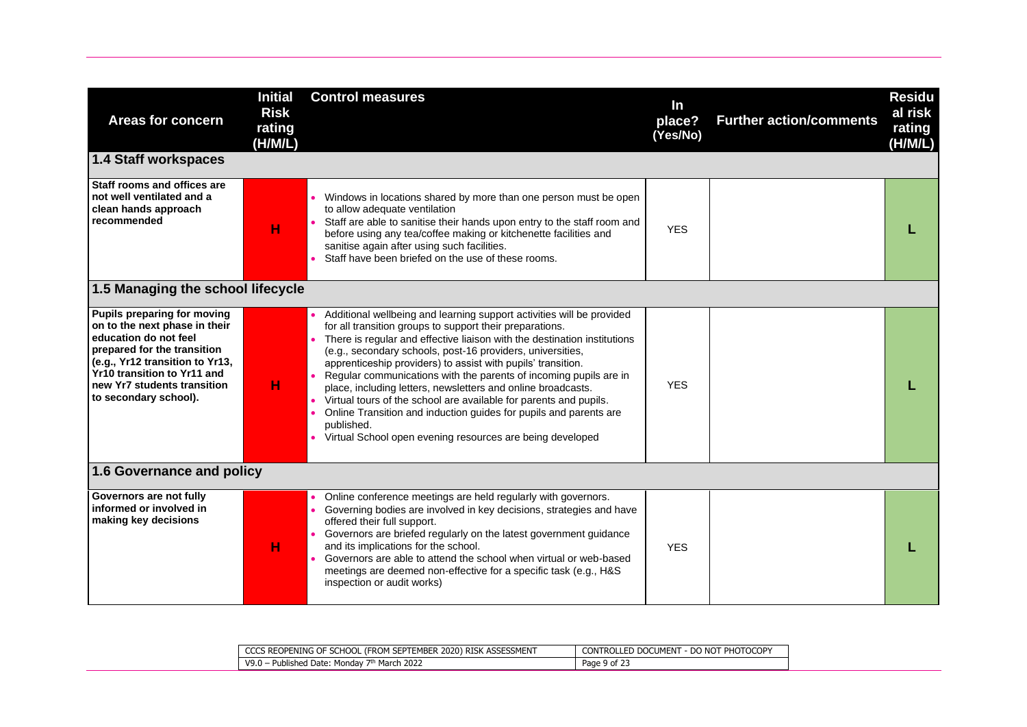| <b>Areas for concern</b><br><b>1.4 Staff workspaces</b>                                                                                                                                                                                        | <b>Initial</b><br><b>Risk</b><br>rating<br>(H/M/L) | <b>Control measures</b>                                                                                                                                                                                                                                                                                                                                                                                                                                                                                                                                                                                                                                                                                 | In<br>place?<br>(Yes/No) | <b>Further action/comments</b> | <b>Residu</b><br>al risk<br>rating<br>(H/M/L) |
|------------------------------------------------------------------------------------------------------------------------------------------------------------------------------------------------------------------------------------------------|----------------------------------------------------|---------------------------------------------------------------------------------------------------------------------------------------------------------------------------------------------------------------------------------------------------------------------------------------------------------------------------------------------------------------------------------------------------------------------------------------------------------------------------------------------------------------------------------------------------------------------------------------------------------------------------------------------------------------------------------------------------------|--------------------------|--------------------------------|-----------------------------------------------|
| Staff rooms and offices are<br>not well ventilated and a<br>clean hands approach<br>recommended                                                                                                                                                | н                                                  | Windows in locations shared by more than one person must be open<br>to allow adequate ventilation<br>Staff are able to sanitise their hands upon entry to the staff room and<br>before using any tea/coffee making or kitchenette facilities and<br>sanitise again after using such facilities.<br>Staff have been briefed on the use of these rooms.                                                                                                                                                                                                                                                                                                                                                   | <b>YES</b>               |                                |                                               |
| 1.5 Managing the school lifecycle                                                                                                                                                                                                              |                                                    |                                                                                                                                                                                                                                                                                                                                                                                                                                                                                                                                                                                                                                                                                                         |                          |                                |                                               |
| Pupils preparing for moving<br>on to the next phase in their<br>education do not feel<br>prepared for the transition<br>(e.g., Yr12 transition to Yr13,<br>Yr10 transition to Yr11 and<br>new Yr7 students transition<br>to secondary school). | н                                                  | Additional wellbeing and learning support activities will be provided<br>for all transition groups to support their preparations.<br>There is regular and effective liaison with the destination institutions<br>(e.g., secondary schools, post-16 providers, universities,<br>apprenticeship providers) to assist with pupils' transition.<br>Regular communications with the parents of incoming pupils are in<br>place, including letters, newsletters and online broadcasts.<br>Virtual tours of the school are available for parents and pupils.<br>Online Transition and induction guides for pupils and parents are<br>published.<br>• Virtual School open evening resources are being developed | <b>YES</b>               |                                |                                               |
| 1.6 Governance and policy                                                                                                                                                                                                                      |                                                    |                                                                                                                                                                                                                                                                                                                                                                                                                                                                                                                                                                                                                                                                                                         |                          |                                |                                               |
| Governors are not fully<br>informed or involved in<br>making key decisions                                                                                                                                                                     | н                                                  | Online conference meetings are held regularly with governors.<br>Governing bodies are involved in key decisions, strategies and have<br>offered their full support.<br>• Governors are briefed regularly on the latest government guidance<br>and its implications for the school.<br>Governors are able to attend the school when virtual or web-based<br>meetings are deemed non-effective for a specific task (e.g., H&S<br>inspection or audit works)                                                                                                                                                                                                                                               | <b>YES</b>               |                                |                                               |

| CCCS REOPENING OF SCHOOL (FROM SEPTEMBER 2020) RISK ASSESSMENT    | f - Do Not Photocopy<br><b>CONTROLLED DOCUMENT</b> |
|-------------------------------------------------------------------|----------------------------------------------------|
| 17 <sup>th</sup> March 202∠<br>$V9.0 -$<br>Published Date: Monday | Page 9 of 23                                       |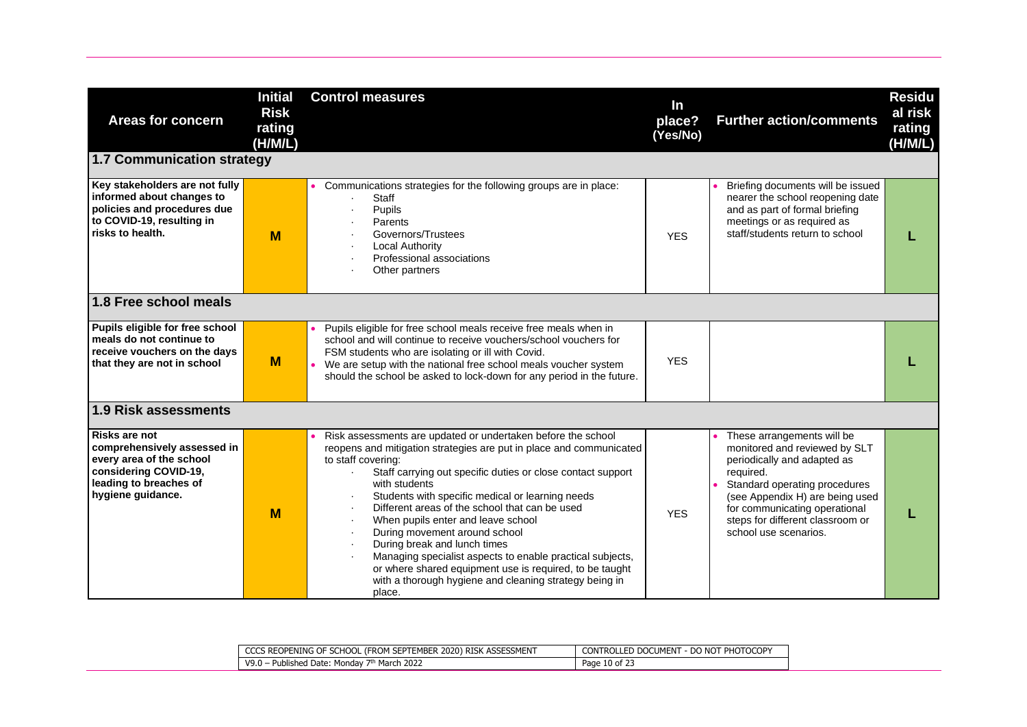| <b>Areas for concern</b>                                                                                                                                | <b>Initial</b><br><b>Risk</b><br>rating<br>(H/M/L) | <b>Control measures</b>                                                                                                                                                                                                                                                                                                                                                                                                                                                                                                                                                                                                                                                      | In<br>place?<br>(Yes/No) | <b>Further action/comments</b>                                                                                                                                                                                                                                            | <b>Residu</b><br>al risk<br>rating<br>(H/M/L) |
|---------------------------------------------------------------------------------------------------------------------------------------------------------|----------------------------------------------------|------------------------------------------------------------------------------------------------------------------------------------------------------------------------------------------------------------------------------------------------------------------------------------------------------------------------------------------------------------------------------------------------------------------------------------------------------------------------------------------------------------------------------------------------------------------------------------------------------------------------------------------------------------------------------|--------------------------|---------------------------------------------------------------------------------------------------------------------------------------------------------------------------------------------------------------------------------------------------------------------------|-----------------------------------------------|
| 1.7 Communication strategy                                                                                                                              |                                                    |                                                                                                                                                                                                                                                                                                                                                                                                                                                                                                                                                                                                                                                                              |                          |                                                                                                                                                                                                                                                                           |                                               |
| Key stakeholders are not fully<br>informed about changes to<br>policies and procedures due<br>to COVID-19, resulting in<br>risks to health.             | M                                                  | • Communications strategies for the following groups are in place:<br><b>Staff</b><br>Pupils<br>Parents<br>Governors/Trustees<br>$\bullet$<br><b>Local Authority</b><br>Professional associations<br>Other partners                                                                                                                                                                                                                                                                                                                                                                                                                                                          | <b>YFS</b>               | Briefing documents will be issued<br>nearer the school reopening date<br>and as part of formal briefing<br>meetings or as required as<br>staff/students return to school                                                                                                  |                                               |
| 1.8 Free school meals                                                                                                                                   |                                                    |                                                                                                                                                                                                                                                                                                                                                                                                                                                                                                                                                                                                                                                                              |                          |                                                                                                                                                                                                                                                                           |                                               |
| Pupils eligible for free school<br>meals do not continue to<br>receive vouchers on the days<br>that they are not in school                              | M                                                  | Pupils eligible for free school meals receive free meals when in<br>school and will continue to receive vouchers/school vouchers for<br>FSM students who are isolating or ill with Covid.<br>We are setup with the national free school meals voucher system<br>should the school be asked to lock-down for any period in the future.                                                                                                                                                                                                                                                                                                                                        | <b>YFS</b>               |                                                                                                                                                                                                                                                                           |                                               |
| 1.9 Risk assessments                                                                                                                                    |                                                    |                                                                                                                                                                                                                                                                                                                                                                                                                                                                                                                                                                                                                                                                              |                          |                                                                                                                                                                                                                                                                           |                                               |
| <b>Risks are not</b><br>comprehensively assessed in<br>every area of the school<br>considering COVID-19,<br>leading to breaches of<br>hygiene guidance. | M                                                  | Risk assessments are updated or undertaken before the school<br>reopens and mitigation strategies are put in place and communicated<br>to staff covering:<br>Staff carrying out specific duties or close contact support<br>with students<br>Students with specific medical or learning needs<br>Different areas of the school that can be used<br>When pupils enter and leave school<br>$\bullet$<br>During movement around school<br>$\bullet$<br>During break and lunch times<br>Managing specialist aspects to enable practical subjects,<br>or where shared equipment use is required, to be taught<br>with a thorough hygiene and cleaning strategy being in<br>place. | <b>YFS</b>               | These arrangements will be<br>monitored and reviewed by SLT<br>periodically and adapted as<br>required.<br>Standard operating procedures<br>(see Appendix H) are being used<br>for communicating operational<br>steps for different classroom or<br>school use scenarios. |                                               |

|                                 | CCCS REOPENING OF SCHOOL (FROM SEPTEMBER 2020) RISK ASSESSMENT | . DO NOT PHOTOCOPY<br><b>CONTROLLED DOCUMENT</b> |
|---------------------------------|----------------------------------------------------------------|--------------------------------------------------|
| V9.0 - Published Date: Monday 7 | March 2022                                                     | $\sim$ $\sim$ $\sim$<br>Page 10 of 2.            |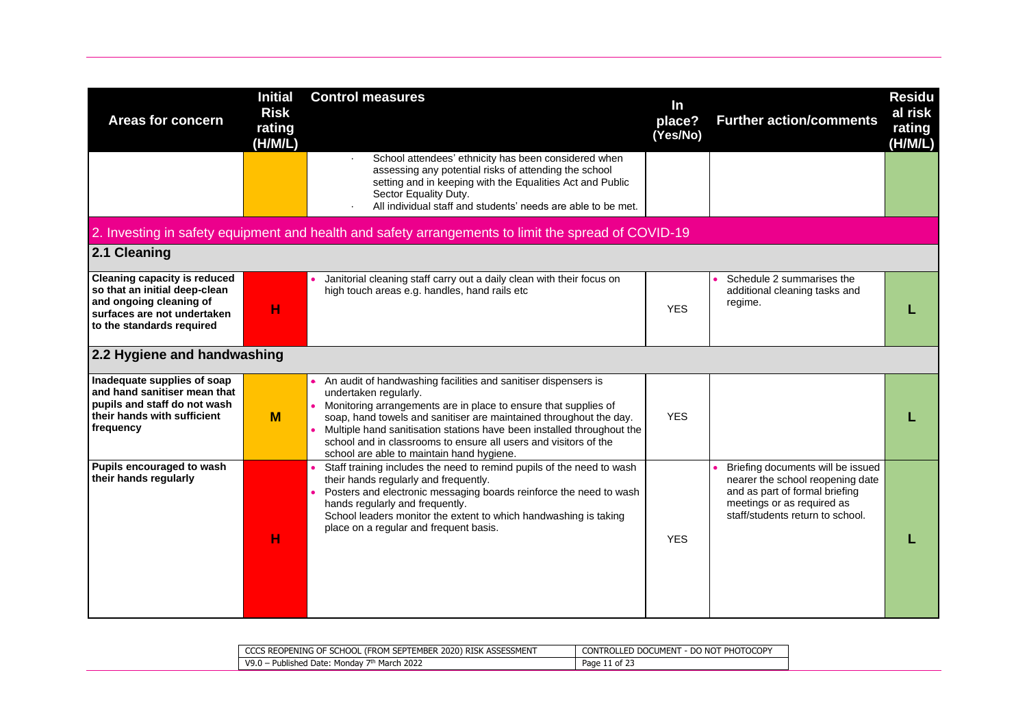| <b>Areas for concern</b>                                                                                                                                    | <b>Initial</b><br><b>Risk</b><br>rating<br>(H/M/L) | <b>Control measures</b>                                                                                                                                                                                                                                                                                                                                                                                                     | In<br>place?<br>(Yes/No) | <b>Further action/comments</b>                                                                                                                                            | <b>Residu</b><br>al risk<br>rating<br>(H/M/L) |
|-------------------------------------------------------------------------------------------------------------------------------------------------------------|----------------------------------------------------|-----------------------------------------------------------------------------------------------------------------------------------------------------------------------------------------------------------------------------------------------------------------------------------------------------------------------------------------------------------------------------------------------------------------------------|--------------------------|---------------------------------------------------------------------------------------------------------------------------------------------------------------------------|-----------------------------------------------|
|                                                                                                                                                             |                                                    | School attendees' ethnicity has been considered when<br>assessing any potential risks of attending the school<br>setting and in keeping with the Equalities Act and Public<br>Sector Equality Duty.<br>All individual staff and students' needs are able to be met.                                                                                                                                                         |                          |                                                                                                                                                                           |                                               |
|                                                                                                                                                             |                                                    | 2. Investing in safety equipment and health and safety arrangements to limit the spread of COVID-19                                                                                                                                                                                                                                                                                                                         |                          |                                                                                                                                                                           |                                               |
| 2.1 Cleaning                                                                                                                                                |                                                    |                                                                                                                                                                                                                                                                                                                                                                                                                             |                          |                                                                                                                                                                           |                                               |
| <b>Cleaning capacity is reduced</b><br>so that an initial deep-clean<br>and ongoing cleaning of<br>surfaces are not undertaken<br>to the standards required | н                                                  | Janitorial cleaning staff carry out a daily clean with their focus on<br>high touch areas e.g. handles, hand rails etc                                                                                                                                                                                                                                                                                                      | <b>YES</b>               | Schedule 2 summarises the<br>additional cleaning tasks and<br>regime.                                                                                                     |                                               |
| 2.2 Hygiene and handwashing                                                                                                                                 |                                                    |                                                                                                                                                                                                                                                                                                                                                                                                                             |                          |                                                                                                                                                                           |                                               |
| Inadequate supplies of soap<br>and hand sanitiser mean that<br>pupils and staff do not wash<br>their hands with sufficient<br>frequency                     | M                                                  | An audit of handwashing facilities and sanitiser dispensers is<br>undertaken regularly.<br>Monitoring arrangements are in place to ensure that supplies of<br>soap, hand towels and sanitiser are maintained throughout the day.<br>Multiple hand sanitisation stations have been installed throughout the<br>school and in classrooms to ensure all users and visitors of the<br>school are able to maintain hand hygiene. | <b>YES</b>               |                                                                                                                                                                           |                                               |
| Pupils encouraged to wash<br>their hands regularly                                                                                                          | н                                                  | Staff training includes the need to remind pupils of the need to wash<br>their hands regularly and frequently.<br>Posters and electronic messaging boards reinforce the need to wash<br>hands regularly and frequently.<br>School leaders monitor the extent to which handwashing is taking<br>place on a regular and frequent basis.                                                                                       | <b>YES</b>               | Briefing documents will be issued<br>nearer the school reopening date<br>and as part of formal briefing<br>meetings or as required as<br>staff/students return to school. |                                               |

| CCCS REOPENING OF SCHOOL (FROM SEPTEMBER 2020) RISK ASSESSMENT | DO NOT PHOTOCOPY<br>CONTROLLED DOCUMENT<br>- DO NOT |
|----------------------------------------------------------------|-----------------------------------------------------|
| <sup>1</sup> March 2022<br>Published Date: Monday<br>V9.       | Page<br>- 11 UI 43                                  |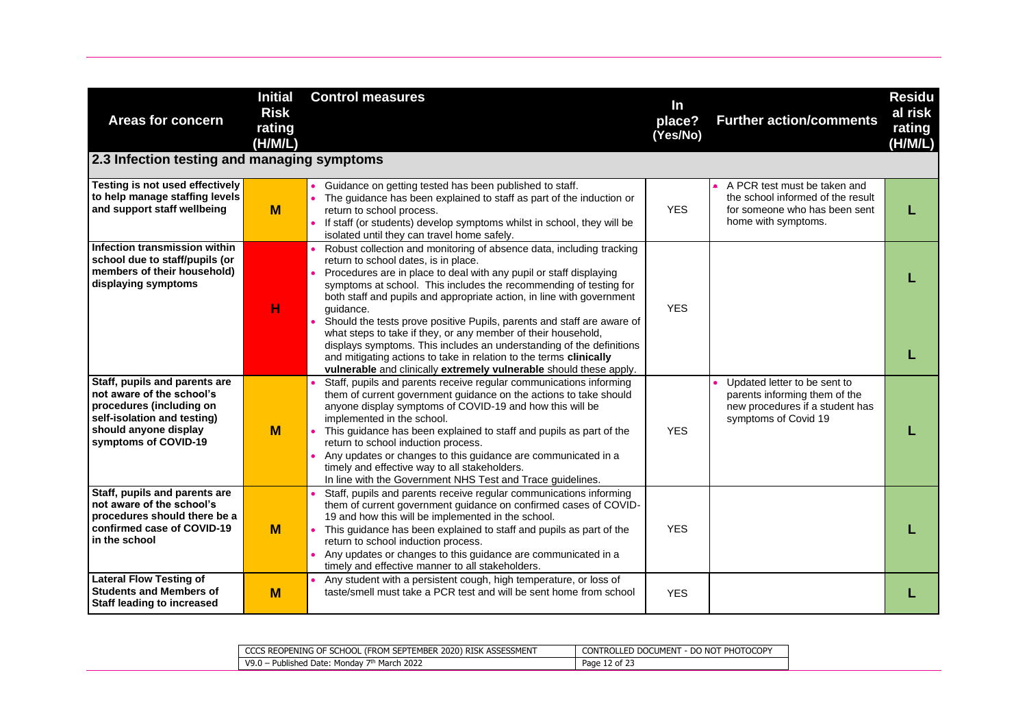| <b>Areas for concern</b><br>2.3 Infection testing and managing symptoms                                                                                                | <b>Initial</b><br><b>Risk</b><br>rating<br>(H/M/L) | <b>Control measures</b>                                                                                                                                                                                                                                                                                                                                                                                                                                                                                                                                                                                                                                                                                      | In<br>place?<br>(Yes/No) | <b>Further action/comments</b>                                                                                            | <b>Residu</b><br>al risk<br>rating<br>(H/M/L) |
|------------------------------------------------------------------------------------------------------------------------------------------------------------------------|----------------------------------------------------|--------------------------------------------------------------------------------------------------------------------------------------------------------------------------------------------------------------------------------------------------------------------------------------------------------------------------------------------------------------------------------------------------------------------------------------------------------------------------------------------------------------------------------------------------------------------------------------------------------------------------------------------------------------------------------------------------------------|--------------------------|---------------------------------------------------------------------------------------------------------------------------|-----------------------------------------------|
| Testing is not used effectively<br>to help manage staffing levels<br>and support staff wellbeing                                                                       | M                                                  | Guidance on getting tested has been published to staff.<br>The guidance has been explained to staff as part of the induction or<br>return to school process.<br>• If staff (or students) develop symptoms whilst in school, they will be<br>isolated until they can travel home safely.                                                                                                                                                                                                                                                                                                                                                                                                                      | <b>YES</b>               | A PCR test must be taken and<br>the school informed of the result<br>for someone who has been sent<br>home with symptoms. |                                               |
| Infection transmission within<br>school due to staff/pupils (or<br>members of their household)<br>displaying symptoms                                                  | н                                                  | Robust collection and monitoring of absence data, including tracking<br>return to school dates, is in place.<br>Procedures are in place to deal with any pupil or staff displaying<br>symptoms at school. This includes the recommending of testing for<br>both staff and pupils and appropriate action, in line with government<br>quidance.<br>Should the tests prove positive Pupils, parents and staff are aware of<br>what steps to take if they, or any member of their household,<br>displays symptoms. This includes an understanding of the definitions<br>and mitigating actions to take in relation to the terms clinically<br>vulnerable and clinically extremely vulnerable should these apply. | <b>YES</b>               |                                                                                                                           |                                               |
| Staff, pupils and parents are<br>not aware of the school's<br>procedures (including on<br>self-isolation and testing)<br>should anyone display<br>symptoms of COVID-19 | M                                                  | Staff, pupils and parents receive regular communications informing<br>them of current government guidance on the actions to take should<br>anyone display symptoms of COVID-19 and how this will be<br>implemented in the school.<br>This guidance has been explained to staff and pupils as part of the<br>return to school induction process.<br>Any updates or changes to this guidance are communicated in a<br>timely and effective way to all stakeholders.<br>In line with the Government NHS Test and Trace guidelines.                                                                                                                                                                              | <b>YES</b>               | Updated letter to be sent to<br>parents informing them of the<br>new procedures if a student has<br>symptoms of Covid 19  |                                               |
| Staff, pupils and parents are<br>not aware of the school's<br>procedures should there be a<br>confirmed case of COVID-19<br>in the school                              | M                                                  | Staff, pupils and parents receive regular communications informing<br>them of current government guidance on confirmed cases of COVID-<br>19 and how this will be implemented in the school.<br>This guidance has been explained to staff and pupils as part of the<br>return to school induction process.<br>• Any updates or changes to this guidance are communicated in a<br>timely and effective manner to all stakeholders.                                                                                                                                                                                                                                                                            | <b>YES</b>               |                                                                                                                           |                                               |
| <b>Lateral Flow Testing of</b><br><b>Students and Members of</b><br><b>Staff leading to increased</b>                                                                  | M                                                  | Any student with a persistent cough, high temperature, or loss of<br>taste/smell must take a PCR test and will be sent home from school                                                                                                                                                                                                                                                                                                                                                                                                                                                                                                                                                                      | <b>YES</b>               |                                                                                                                           |                                               |

| SEPTEMBER 2020) RISY<br>i Reopening of<br>SCHOOL (FROM "<br>$\sim$<br>ı RISK ASSESSMENT<br>ww | PHOTOCOPY<br><b>CONTROLLED DOCUMENT</b><br>$\sim$ - DO NOT |
|-----------------------------------------------------------------------------------------------|------------------------------------------------------------|
| March 2022<br>V9.0<br><b>Published Date:</b><br>Monday                                        | $\sim$<br>Page 12 of 2.                                    |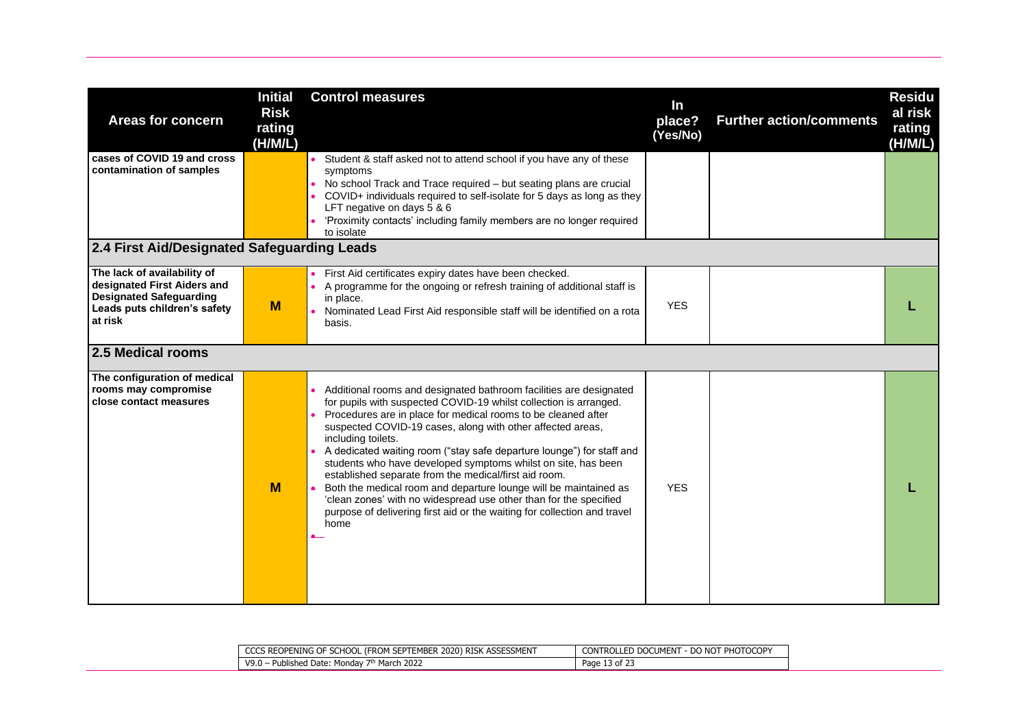| <b>Areas for concern</b>                                                                                                                | <b>Initial</b><br><b>Risk</b><br>rating<br>(H/M/L) | <b>Control measures</b>                                                                                                                                                                                                                                                                                                                                                                                                                                                                                                                                                                                                                                                                                                      | In<br>place?<br>(Yes/No) | <b>Further action/comments</b> | <b>Residu</b><br>al risk<br>rating<br>(H/M/L) |
|-----------------------------------------------------------------------------------------------------------------------------------------|----------------------------------------------------|------------------------------------------------------------------------------------------------------------------------------------------------------------------------------------------------------------------------------------------------------------------------------------------------------------------------------------------------------------------------------------------------------------------------------------------------------------------------------------------------------------------------------------------------------------------------------------------------------------------------------------------------------------------------------------------------------------------------------|--------------------------|--------------------------------|-----------------------------------------------|
| cases of COVID 19 and cross<br>contamination of samples                                                                                 |                                                    | • Student & staff asked not to attend school if you have any of these<br>symptoms<br>• No school Track and Trace required - but seating plans are crucial<br>COVID+ individuals required to self-isolate for 5 days as long as they<br>LFT negative on days 5 & 6<br>'Proximity contacts' including family members are no longer required<br>to isolate                                                                                                                                                                                                                                                                                                                                                                      |                          |                                |                                               |
| 2.4 First Aid/Designated Safeguarding Leads                                                                                             |                                                    |                                                                                                                                                                                                                                                                                                                                                                                                                                                                                                                                                                                                                                                                                                                              |                          |                                |                                               |
| The lack of availability of<br>designated First Aiders and<br><b>Designated Safeguarding</b><br>Leads puts children's safety<br>at risk | M                                                  | First Aid certificates expiry dates have been checked.<br>A programme for the ongoing or refresh training of additional staff is<br>in place.<br>Nominated Lead First Aid responsible staff will be identified on a rota<br>basis.                                                                                                                                                                                                                                                                                                                                                                                                                                                                                           | <b>YES</b>               |                                |                                               |
| 2.5 Medical rooms                                                                                                                       |                                                    |                                                                                                                                                                                                                                                                                                                                                                                                                                                                                                                                                                                                                                                                                                                              |                          |                                |                                               |
| The configuration of medical<br>rooms may compromise<br>close contact measures                                                          | M                                                  | Additional rooms and designated bathroom facilities are designated<br>for pupils with suspected COVID-19 whilst collection is arranged.<br>Procedures are in place for medical rooms to be cleaned after<br>suspected COVID-19 cases, along with other affected areas,<br>including toilets.<br>A dedicated waiting room ("stay safe departure lounge") for staff and<br>students who have developed symptoms whilst on site, has been<br>established separate from the medical/first aid room.<br>Both the medical room and departure lounge will be maintained as<br>'clean zones' with no widespread use other than for the specified<br>purpose of delivering first aid or the waiting for collection and travel<br>home | <b>YES</b>               |                                |                                               |

| CCCS REOPENING OF SCHOOL (FROM SEPTEMBER 2020) RISK ASSESSMENT | <b>CONTROLLED DOCUMENT</b><br><b>- DO NOT PHOTOCOPY</b> |
|----------------------------------------------------------------|---------------------------------------------------------|
| <sup>h</sup> March 2022<br>V9.0 - Published Date:<br>Mondav    | Page<br>13 of 23                                        |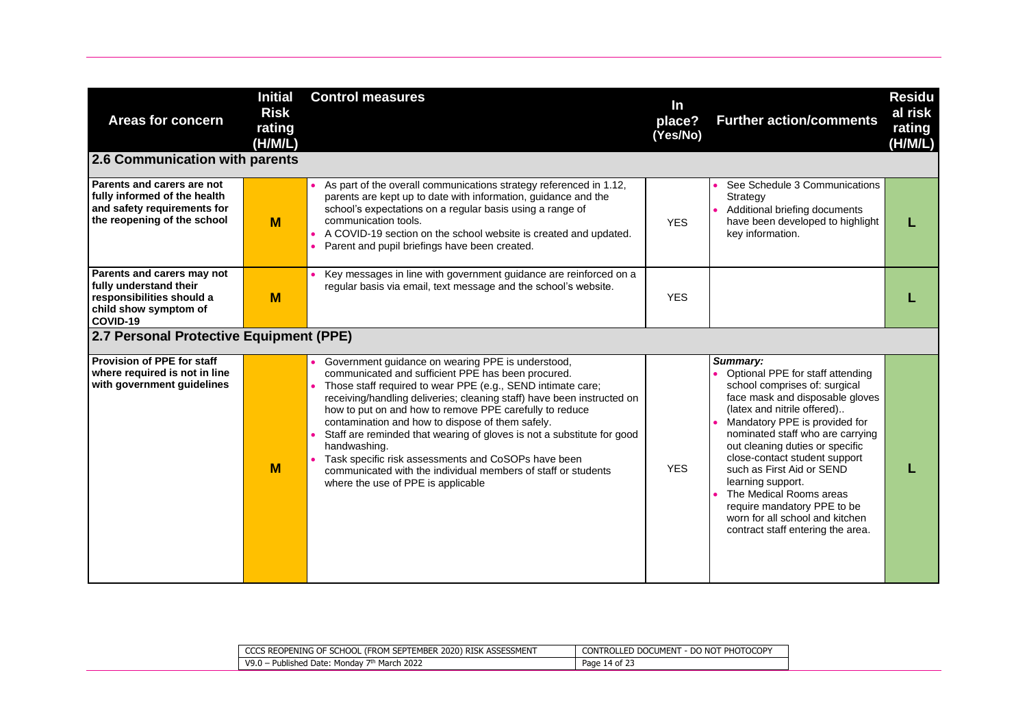| <b>Areas for concern</b>                                                                                                 | <b>Initial</b><br><b>Risk</b><br>rating<br>(H/M/L) | <b>Control measures</b>                                                                                                                                                                                                                                                                                                                                                                                                                                                                                                                                                                                                 | In<br>place?<br>(Yes/No) | <b>Further action/comments</b>                                                                                                                                                                                                                                                                                                                                                                                                                                               | <b>Residu</b><br>al risk<br>rating<br>(H/M/L) |
|--------------------------------------------------------------------------------------------------------------------------|----------------------------------------------------|-------------------------------------------------------------------------------------------------------------------------------------------------------------------------------------------------------------------------------------------------------------------------------------------------------------------------------------------------------------------------------------------------------------------------------------------------------------------------------------------------------------------------------------------------------------------------------------------------------------------------|--------------------------|------------------------------------------------------------------------------------------------------------------------------------------------------------------------------------------------------------------------------------------------------------------------------------------------------------------------------------------------------------------------------------------------------------------------------------------------------------------------------|-----------------------------------------------|
| 2.6 Communication with parents                                                                                           |                                                    |                                                                                                                                                                                                                                                                                                                                                                                                                                                                                                                                                                                                                         |                          |                                                                                                                                                                                                                                                                                                                                                                                                                                                                              |                                               |
| Parents and carers are not<br>fully informed of the health<br>and safety requirements for<br>the reopening of the school | M                                                  | As part of the overall communications strategy referenced in 1.12,<br>parents are kept up to date with information, guidance and the<br>school's expectations on a regular basis using a range of<br>communication tools.<br>A COVID-19 section on the school website is created and updated.<br>Parent and pupil briefings have been created.                                                                                                                                                                                                                                                                          | <b>YES</b>               | See Schedule 3 Communications<br>Strategy<br>Additional briefing documents<br>have been developed to highlight<br>key information.                                                                                                                                                                                                                                                                                                                                           |                                               |
| Parents and carers may not<br>fully understand their<br>responsibilities should a<br>child show symptom of<br>COVID-19   | M                                                  | Key messages in line with government guidance are reinforced on a<br>regular basis via email, text message and the school's website.                                                                                                                                                                                                                                                                                                                                                                                                                                                                                    | <b>YES</b>               |                                                                                                                                                                                                                                                                                                                                                                                                                                                                              |                                               |
| 2.7 Personal Protective Equipment (PPE)                                                                                  |                                                    |                                                                                                                                                                                                                                                                                                                                                                                                                                                                                                                                                                                                                         |                          |                                                                                                                                                                                                                                                                                                                                                                                                                                                                              |                                               |
| Provision of PPE for staff<br>where required is not in line<br>with government quidelines                                | M                                                  | Government guidance on wearing PPE is understood,<br>communicated and sufficient PPE has been procured.<br>Those staff required to wear PPE (e.g., SEND intimate care;<br>receiving/handling deliveries; cleaning staff) have been instructed on<br>how to put on and how to remove PPE carefully to reduce<br>contamination and how to dispose of them safely.<br>Staff are reminded that wearing of gloves is not a substitute for good<br>handwashing.<br>Task specific risk assessments and CoSOPs have been<br>communicated with the individual members of staff or students<br>where the use of PPE is applicable | <b>YES</b>               | Summary:<br>Optional PPE for staff attending<br>school comprises of: surgical<br>face mask and disposable gloves<br>(latex and nitrile offered)<br>Mandatory PPE is provided for<br>nominated staff who are carrying<br>out cleaning duties or specific<br>close-contact student support<br>such as First Aid or SEND<br>learning support.<br>The Medical Rooms areas<br>require mandatory PPE to be<br>worn for all school and kitchen<br>contract staff entering the area. |                                               |

| CCCS REOPENING OF SCHOOL (FROM SEPTEMBER 2020) RISK ASSESSMENT | CONTROLLED DOCUMENT - DO NOT PHOTOCOPY |
|----------------------------------------------------------------|----------------------------------------|
| March 2022<br>.<br>· Published Date: Mondav<br>wa n<br>.J.U -  | Page<br>14 of 2.                       |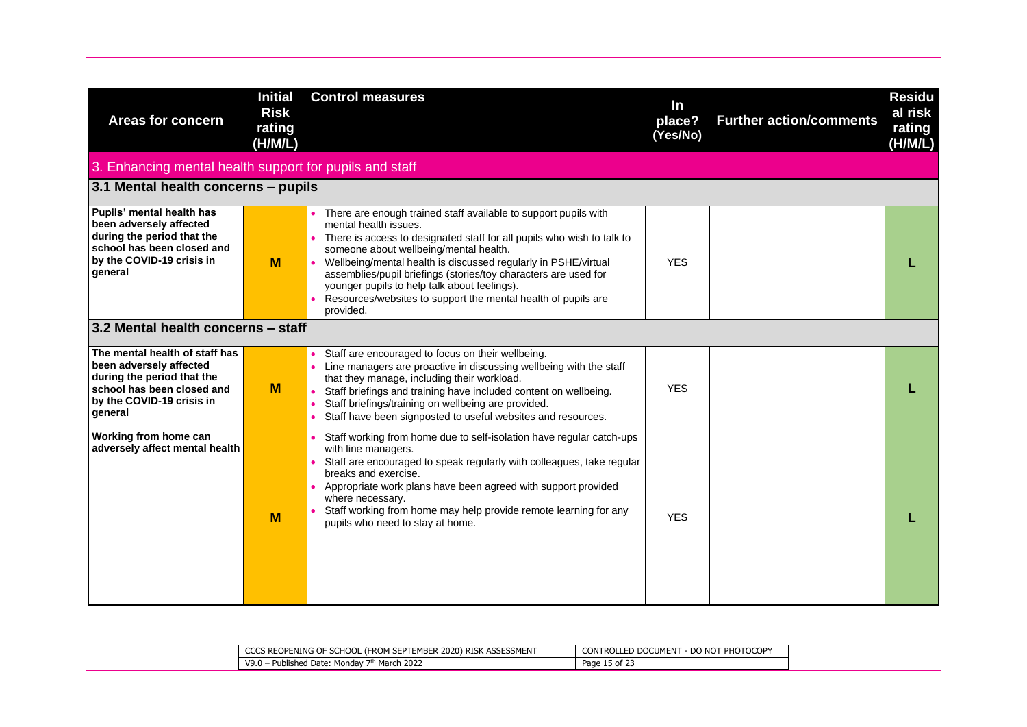| <b>Areas for concern</b>                                                                                                                                      | <b>Initial</b><br><b>Risk</b><br>rating<br>(H/M/L) | <b>Control measures</b>                                                                                                                                                                                                                                                                                                                                                                                                                                                           | In<br>place?<br>(Yes/No) | <b>Further action/comments</b> | <b>Residu</b><br>al risk<br>rating<br>(H/M/L) |
|---------------------------------------------------------------------------------------------------------------------------------------------------------------|----------------------------------------------------|-----------------------------------------------------------------------------------------------------------------------------------------------------------------------------------------------------------------------------------------------------------------------------------------------------------------------------------------------------------------------------------------------------------------------------------------------------------------------------------|--------------------------|--------------------------------|-----------------------------------------------|
| 3. Enhancing mental health support for pupils and staff                                                                                                       |                                                    |                                                                                                                                                                                                                                                                                                                                                                                                                                                                                   |                          |                                |                                               |
| 3.1 Mental health concerns - pupils                                                                                                                           |                                                    |                                                                                                                                                                                                                                                                                                                                                                                                                                                                                   |                          |                                |                                               |
| Pupils' mental health has<br>been adversely affected<br>during the period that the<br>school has been closed and<br>by the COVID-19 crisis in<br>general      | M                                                  | There are enough trained staff available to support pupils with<br>mental health issues.<br>• There is access to designated staff for all pupils who wish to talk to<br>someone about wellbeing/mental health.<br>Wellbeing/mental health is discussed regularly in PSHE/virtual<br>assemblies/pupil briefings (stories/toy characters are used for<br>younger pupils to help talk about feelings).<br>Resources/websites to support the mental health of pupils are<br>provided. | <b>YES</b>               |                                |                                               |
| 3.2 Mental health concerns - staff                                                                                                                            |                                                    |                                                                                                                                                                                                                                                                                                                                                                                                                                                                                   |                          |                                |                                               |
| The mental health of staff has<br>been adversely affected<br>during the period that the<br>school has been closed and<br>by the COVID-19 crisis in<br>general | M                                                  | Staff are encouraged to focus on their wellbeing.<br>Line managers are proactive in discussing wellbeing with the staff<br>that they manage, including their workload.<br>• Staff briefings and training have included content on wellbeing.<br>Staff briefings/training on wellbeing are provided.<br>Staff have been signposted to useful websites and resources.                                                                                                               | <b>YES</b>               |                                |                                               |
| Working from home can<br>adversely affect mental health                                                                                                       | M                                                  | Staff working from home due to self-isolation have regular catch-ups<br>with line managers.<br>• Staff are encouraged to speak regularly with colleagues, take regular<br>breaks and exercise.<br>Appropriate work plans have been agreed with support provided<br>where necessary.<br>Staff working from home may help provide remote learning for any<br>pupils who need to stay at home.                                                                                       | <b>YES</b>               |                                |                                               |

| CCCS REOPENING OF SCHOOL (FROM SEPTEMBER 2020) RISK ASSESSMENT    | r - do not photocopy<br>CONTROLLED DOCUMENT |
|-------------------------------------------------------------------|---------------------------------------------|
| <sup>h</sup> March 2022<br>· Published Date: Mondav .<br>$V9.0 -$ | Page 15 of 23                               |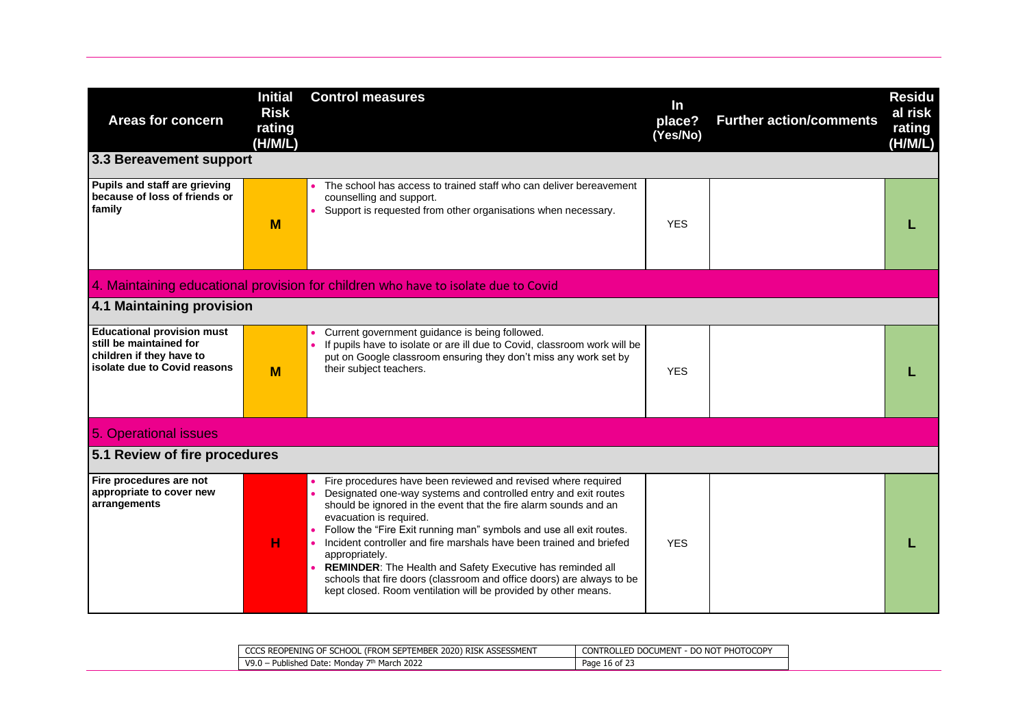| Areas for concern<br>3.3 Bereavement support                                                                             | <b>Initial</b><br><b>Risk</b><br>rating<br>(H/M/L) | <b>Control measures</b>                                                                                                                                                                                                                                                                                                                                                                                                                                                                                                                                                                                         | In<br>place?<br>(Yes/No) | <b>Further action/comments</b> | <b>Residu</b><br>al risk<br>rating<br>(H/M/L) |
|--------------------------------------------------------------------------------------------------------------------------|----------------------------------------------------|-----------------------------------------------------------------------------------------------------------------------------------------------------------------------------------------------------------------------------------------------------------------------------------------------------------------------------------------------------------------------------------------------------------------------------------------------------------------------------------------------------------------------------------------------------------------------------------------------------------------|--------------------------|--------------------------------|-----------------------------------------------|
| Pupils and staff are grieving                                                                                            |                                                    | The school has access to trained staff who can deliver bereavement                                                                                                                                                                                                                                                                                                                                                                                                                                                                                                                                              |                          |                                |                                               |
| because of loss of friends or<br>family                                                                                  | M                                                  | counselling and support.<br>Support is requested from other organisations when necessary.                                                                                                                                                                                                                                                                                                                                                                                                                                                                                                                       | <b>YES</b>               |                                |                                               |
|                                                                                                                          |                                                    | 4. Maintaining educational provision for children who have to isolate due to Covid                                                                                                                                                                                                                                                                                                                                                                                                                                                                                                                              |                          |                                |                                               |
| 4.1 Maintaining provision                                                                                                |                                                    |                                                                                                                                                                                                                                                                                                                                                                                                                                                                                                                                                                                                                 |                          |                                |                                               |
| <b>Educational provision must</b><br>still be maintained for<br>children if they have to<br>isolate due to Covid reasons | M                                                  | Current government guidance is being followed.<br>If pupils have to isolate or are ill due to Covid, classroom work will be<br>put on Google classroom ensuring they don't miss any work set by<br>their subject teachers.                                                                                                                                                                                                                                                                                                                                                                                      | <b>YES</b>               |                                |                                               |
| 5. Operational issues                                                                                                    |                                                    |                                                                                                                                                                                                                                                                                                                                                                                                                                                                                                                                                                                                                 |                          |                                |                                               |
| 5.1 Review of fire procedures                                                                                            |                                                    |                                                                                                                                                                                                                                                                                                                                                                                                                                                                                                                                                                                                                 |                          |                                |                                               |
| Fire procedures are not<br>appropriate to cover new<br>arrangements                                                      | н                                                  | Fire procedures have been reviewed and revised where required<br>Designated one-way systems and controlled entry and exit routes<br>should be ignored in the event that the fire alarm sounds and an<br>evacuation is required.<br>Follow the "Fire Exit running man" symbols and use all exit routes.<br>Incident controller and fire marshals have been trained and briefed<br>appropriately.<br><b>REMINDER:</b> The Health and Safety Executive has reminded all<br>schools that fire doors (classroom and office doors) are always to be<br>kept closed. Room ventilation will be provided by other means. | <b>YES</b>               |                                |                                               |

| CCCS REOPENING OF SCHOOL (FROM SEPTEMBER 2020) RISK ASSESSMENT | . - DO NOT PHOTOCOPY<br><b>CONTROLLED DOCUMENT</b> |
|----------------------------------------------------------------|----------------------------------------------------|
| 7th March 2022<br>· Mondav<br>V9.0<br>Published Date:          | Page 16 of 2.                                      |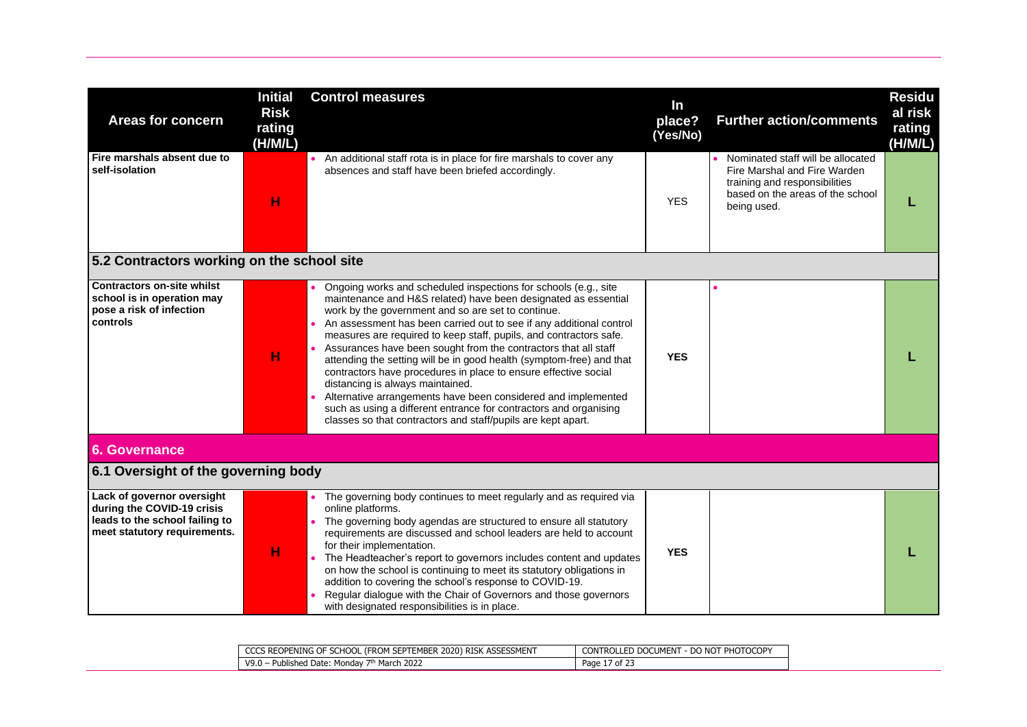| <b>Areas for concern</b>                                                                                                   | <b>Initial</b><br><b>Risk</b><br>rating<br>(H/M/L) | <b>Control measures</b>                                                                                                                                                                                                                                                                                                                                                                                                                                                                                                                                                                                                                                                                                                                                                                      | In<br>place?<br>(Yes/No) | <b>Further action/comments</b>                                                                                                                        | <b>Residu</b><br>al risk<br>rating<br>(H/M/L) |
|----------------------------------------------------------------------------------------------------------------------------|----------------------------------------------------|----------------------------------------------------------------------------------------------------------------------------------------------------------------------------------------------------------------------------------------------------------------------------------------------------------------------------------------------------------------------------------------------------------------------------------------------------------------------------------------------------------------------------------------------------------------------------------------------------------------------------------------------------------------------------------------------------------------------------------------------------------------------------------------------|--------------------------|-------------------------------------------------------------------------------------------------------------------------------------------------------|-----------------------------------------------|
| Fire marshals absent due to<br>self-isolation                                                                              | н                                                  | • An additional staff rota is in place for fire marshals to cover any<br>absences and staff have been briefed accordingly.                                                                                                                                                                                                                                                                                                                                                                                                                                                                                                                                                                                                                                                                   | <b>YES</b>               | Nominated staff will be allocated<br>Fire Marshal and Fire Warden<br>training and responsibilities<br>based on the areas of the school<br>being used. |                                               |
| 5.2 Contractors working on the school site                                                                                 |                                                    |                                                                                                                                                                                                                                                                                                                                                                                                                                                                                                                                                                                                                                                                                                                                                                                              |                          |                                                                                                                                                       |                                               |
| <b>Contractors on-site whilst</b><br>school is in operation may<br>pose a risk of infection<br>controls                    | н                                                  | Ongoing works and scheduled inspections for schools (e.g., site<br>maintenance and H&S related) have been designated as essential<br>work by the government and so are set to continue.<br>An assessment has been carried out to see if any additional control<br>measures are required to keep staff, pupils, and contractors safe.<br>Assurances have been sought from the contractors that all staff<br>attending the setting will be in good health (symptom-free) and that<br>contractors have procedures in place to ensure effective social<br>distancing is always maintained.<br>Alternative arrangements have been considered and implemented<br>such as using a different entrance for contractors and organising<br>classes so that contractors and staff/pupils are kept apart. | <b>YES</b>               |                                                                                                                                                       |                                               |
| 6. Governance                                                                                                              |                                                    |                                                                                                                                                                                                                                                                                                                                                                                                                                                                                                                                                                                                                                                                                                                                                                                              |                          |                                                                                                                                                       |                                               |
| 6.1 Oversight of the governing body                                                                                        |                                                    |                                                                                                                                                                                                                                                                                                                                                                                                                                                                                                                                                                                                                                                                                                                                                                                              |                          |                                                                                                                                                       |                                               |
| Lack of governor oversight<br>during the COVID-19 crisis<br>leads to the school failing to<br>meet statutory requirements. | н                                                  | The governing body continues to meet regularly and as required via<br>online platforms.<br>The governing body agendas are structured to ensure all statutory<br>requirements are discussed and school leaders are held to account<br>for their implementation.<br>The Headteacher's report to governors includes content and updates<br>on how the school is continuing to meet its statutory obligations in<br>addition to covering the school's response to COVID-19.<br>Regular dialogue with the Chair of Governors and those governors<br>with designated responsibilities is in place.                                                                                                                                                                                                 | <b>YES</b>               |                                                                                                                                                       |                                               |

| L (FROM SEPTEMBER 2020) RISK ASSESSMENT<br>CS REOPENING OF SCHOOL<br>CCC | I - DO NOT PHOTOCOPY<br><b>CONTROLLED DOCUMENT</b> |
|--------------------------------------------------------------------------|----------------------------------------------------|
| <sup>1</sup> March 2022<br>V9.0<br>Mondav<br>Published Date:             | .<br>Page 1<br>$\prime$ of 2.                      |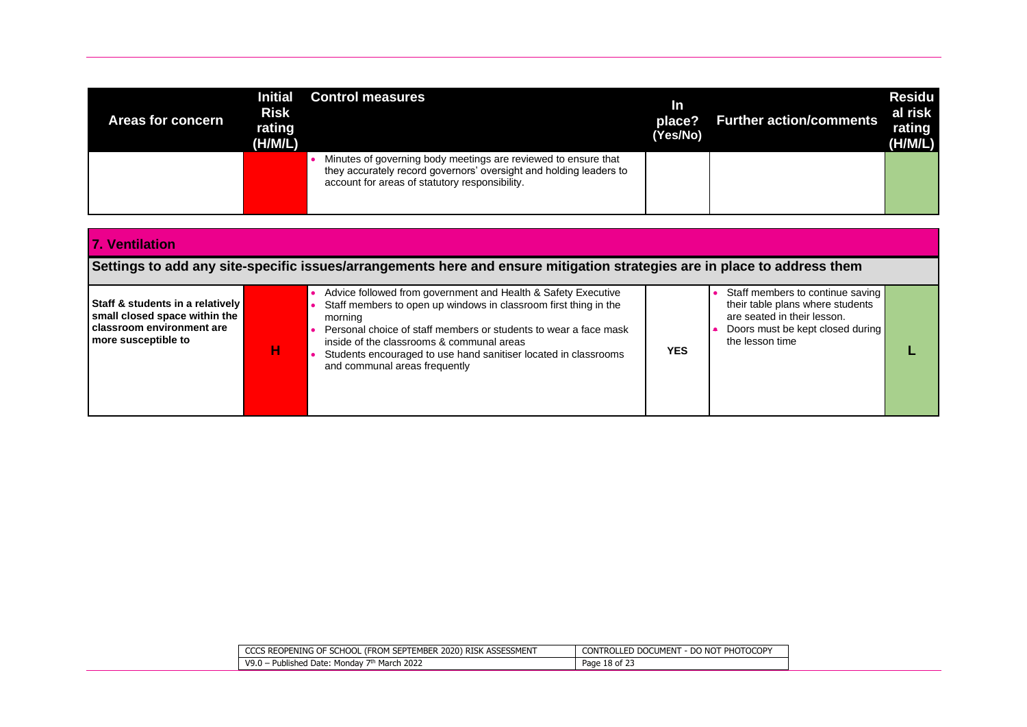| Areas for concern | <b>Initial</b><br><b>Risk</b><br>rating<br>(H/M/L) | <b>Control measures</b>                                                                                                                                                                | In<br>place?<br>(Yes/No) | <b>Further action/comments</b> | <b>Residu</b><br>al risk<br>rating<br>(H/M/L) |
|-------------------|----------------------------------------------------|----------------------------------------------------------------------------------------------------------------------------------------------------------------------------------------|--------------------------|--------------------------------|-----------------------------------------------|
|                   |                                                    | Minutes of governing body meetings are reviewed to ensure that<br>they accurately record governors' oversight and holding leaders to<br>account for areas of statutory responsibility. |                          |                                |                                               |

| 17. Ventilation                                                                                                           |   |                                                                                                                                                                                                                                                                                                                                                                   |            |                                                                                                                                                            |  |
|---------------------------------------------------------------------------------------------------------------------------|---|-------------------------------------------------------------------------------------------------------------------------------------------------------------------------------------------------------------------------------------------------------------------------------------------------------------------------------------------------------------------|------------|------------------------------------------------------------------------------------------------------------------------------------------------------------|--|
|                                                                                                                           |   | Settings to add any site-specific issues/arrangements here and ensure mitigation strategies are in place to address them                                                                                                                                                                                                                                          |            |                                                                                                                                                            |  |
| Staff & students in a relatively  <br>small closed space within the<br>l classroom environment are<br>more susceptible to | н | Advice followed from government and Health & Safety Executive<br>Staff members to open up windows in classroom first thing in the<br>morning<br>Personal choice of staff members or students to wear a face mask<br>inside of the classrooms & communal areas<br>Students encouraged to use hand sanitiser located in classrooms<br>and communal areas frequently | <b>YES</b> | Staff members to continue saving<br>their table plans where students<br>are seated in their lesson.<br>Doors must be kept closed during<br>the lesson time |  |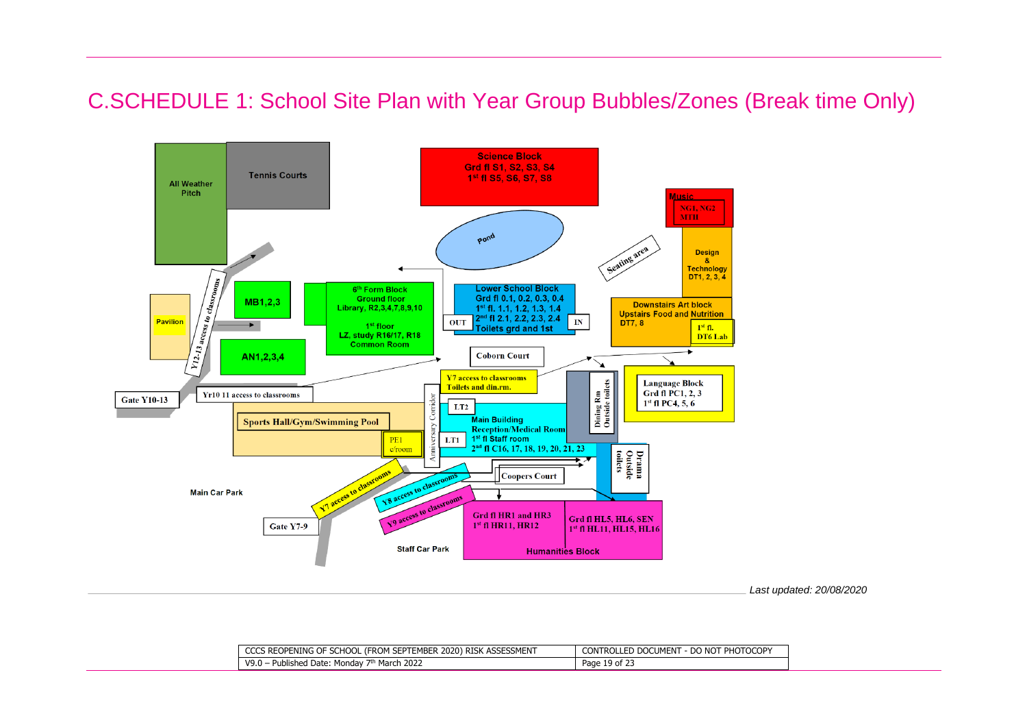### C.SCHEDULE 1: School Site Plan with Year Group Bubbles/Zones (Break time Only)



*Last updated: 20/08/2020*

| 1 SEPTEMBER 2020) RISK ASSESSMENT<br><b>CCCS REOPENING OF SCHOOL</b><br>(FROM | <b>LE DO NOT PHOTOCOPY</b><br>CONTROLLED DOCUMENT |
|-------------------------------------------------------------------------------|---------------------------------------------------|
| 2022 ו<br>· Published Date:<br>V9.0<br>March<br>Monday 7th                    | 19 of $23$<br>Page                                |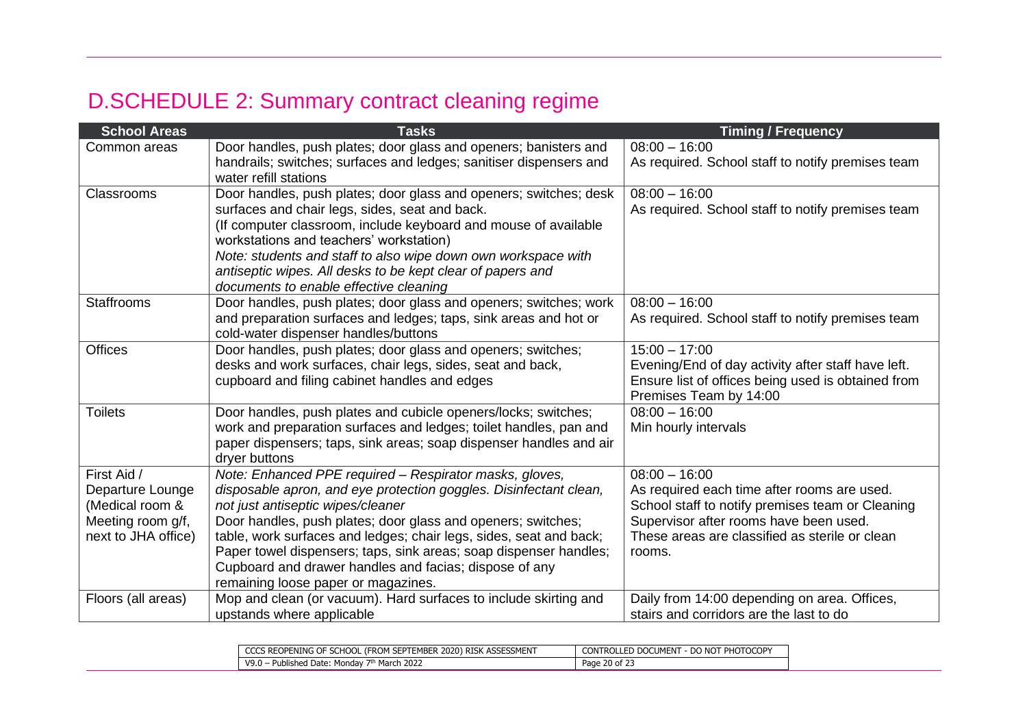## D.SCHEDULE 2: Summary contract cleaning regime

| <b>School Areas</b> | <b>Tasks</b>                                                                                               | <b>Timing / Frequency</b>                                                    |
|---------------------|------------------------------------------------------------------------------------------------------------|------------------------------------------------------------------------------|
| Common areas        | Door handles, push plates; door glass and openers; banisters and                                           | $08:00 - 16:00$                                                              |
|                     | handrails; switches; surfaces and ledges; sanitiser dispensers and<br>water refill stations                | As required. School staff to notify premises team                            |
| Classrooms          | Door handles, push plates; door glass and openers; switches; desk                                          | $08:00 - 16:00$                                                              |
|                     | surfaces and chair legs, sides, seat and back.                                                             | As required. School staff to notify premises team                            |
|                     | (If computer classroom, include keyboard and mouse of available<br>workstations and teachers' workstation) |                                                                              |
|                     | Note: students and staff to also wipe down own workspace with                                              |                                                                              |
|                     | antiseptic wipes. All desks to be kept clear of papers and                                                 |                                                                              |
|                     | documents to enable effective cleaning                                                                     |                                                                              |
| <b>Staffrooms</b>   | Door handles, push plates; door glass and openers; switches; work                                          | $08:00 - 16:00$                                                              |
|                     | and preparation surfaces and ledges; taps, sink areas and hot or<br>cold-water dispenser handles/buttons   | As required. School staff to notify premises team                            |
| <b>Offices</b>      | Door handles, push plates; door glass and openers; switches;                                               | $15:00 - 17:00$                                                              |
|                     | desks and work surfaces, chair legs, sides, seat and back,                                                 | Evening/End of day activity after staff have left.                           |
|                     | cupboard and filing cabinet handles and edges                                                              | Ensure list of offices being used is obtained from<br>Premises Team by 14:00 |
| <b>Toilets</b>      | Door handles, push plates and cubicle openers/locks; switches;                                             | $08:00 - 16:00$                                                              |
|                     | work and preparation surfaces and ledges; toilet handles, pan and                                          | Min hourly intervals                                                         |
|                     | paper dispensers; taps, sink areas; soap dispenser handles and air                                         |                                                                              |
| First Aid /         | dryer buttons<br>Note: Enhanced PPE required - Respirator masks, gloves,                                   | $08:00 - 16:00$                                                              |
| Departure Lounge    | disposable apron, and eye protection goggles. Disinfectant clean,                                          | As required each time after rooms are used.                                  |
| (Medical room &     | not just antiseptic wipes/cleaner                                                                          | School staff to notify premises team or Cleaning                             |
| Meeting room g/f,   | Door handles, push plates; door glass and openers; switches;                                               | Supervisor after rooms have been used.                                       |
| next to JHA office) | table, work surfaces and ledges; chair legs, sides, seat and back;                                         | These areas are classified as sterile or clean                               |
|                     | Paper towel dispensers; taps, sink areas; soap dispenser handles;                                          | rooms.                                                                       |
|                     | Cupboard and drawer handles and facias; dispose of any                                                     |                                                                              |
|                     | remaining loose paper or magazines.                                                                        |                                                                              |
| Floors (all areas)  | Mop and clean (or vacuum). Hard surfaces to include skirting and                                           | Daily from 14:00 depending on area. Offices,                                 |
|                     | upstands where applicable                                                                                  | stairs and corridors are the last to do                                      |

| ESSMENT<br>2020'<br><b>RISK</b><br>Ening of<br>MRED<br>'REOPEN ،<br>FRI IN<br>.<br>$1 - 1$<br>л<br>≂ĸ∪.<br>. | <b>F PHOTOCOPY</b><br>-------<br>CON 1<br>-n q<br>.J DOC د<br>JMFN.<br>- DO<br>NIC 1<br>KUI |
|--------------------------------------------------------------------------------------------------------------|---------------------------------------------------------------------------------------------|
| March 2022<br>V9.0<br>Published Date: .<br>Mor<br><sub>i</sub> ongay                                         | $\sim$ $\sim$ $\sim$<br>$\sim$<br>20 of<br>Page                                             |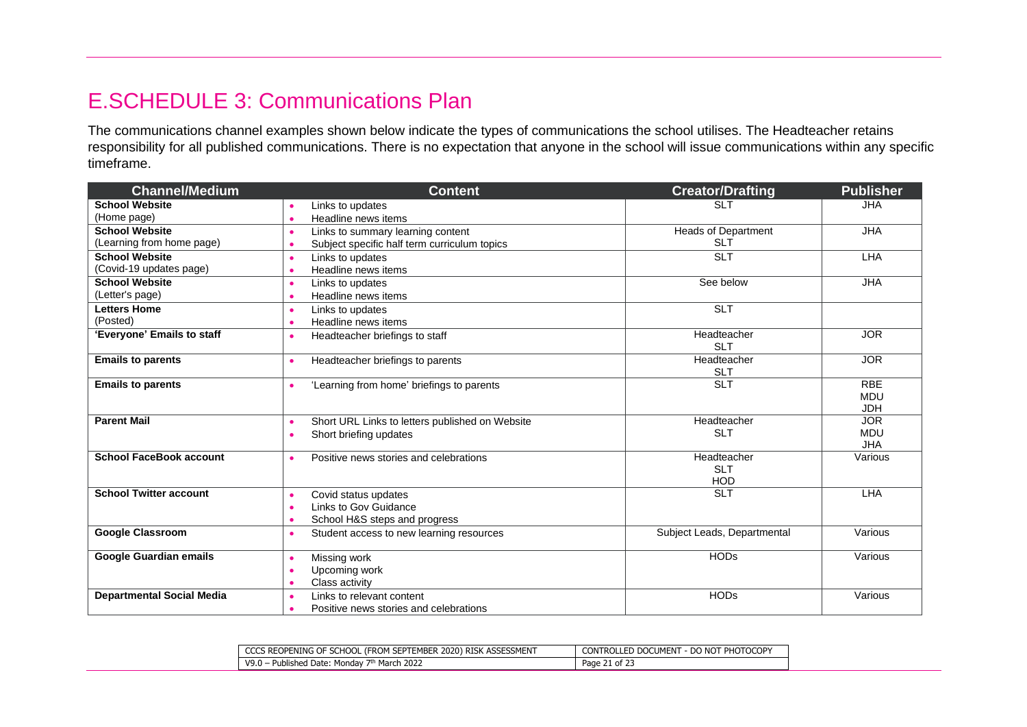### E.SCHEDULE 3: Communications Plan

The communications channel examples shown below indicate the types of communications the school utilises. The Headteacher retains responsibility for all published communications. There is no expectation that anyone in the school will issue communications within any specific timeframe.

| <b>Channel/Medium</b>                           | <b>Content</b>                                               | <b>Creator/Drafting</b>     | <b>Publisher</b> |
|-------------------------------------------------|--------------------------------------------------------------|-----------------------------|------------------|
| <b>School Website</b>                           | Links to updates<br>$\bullet$                                | <b>SLT</b>                  | <b>JHA</b>       |
| (Home page)<br>Headline news items<br>$\bullet$ |                                                              |                             |                  |
| <b>School Website</b>                           | Links to summary learning content<br>$\bullet$               | <b>Heads of Department</b>  | <b>JHA</b>       |
| (Learning from home page)                       | Subject specific half term curriculum topics<br>$\bullet$    | <b>SLT</b>                  |                  |
| <b>School Website</b>                           | Links to updates<br>$\bullet$                                | <b>SLT</b>                  | LHA              |
| (Covid-19 updates page)                         | Headline news items<br>$\bullet$                             |                             |                  |
| <b>School Website</b>                           | Links to updates<br>$\bullet$                                | See below                   | <b>JHA</b>       |
| (Letter's page)                                 | Headline news items<br>$\bullet$                             |                             |                  |
| <b>Letters Home</b>                             | Links to updates<br>$\bullet$                                | <b>SLT</b>                  |                  |
| (Posted)                                        | Headline news items<br>$\bullet$                             |                             |                  |
| 'Everyone' Emails to staff                      | Headteacher briefings to staff<br>$\bullet$                  | Headteacher                 | <b>JOR</b>       |
|                                                 |                                                              | <b>SLT</b>                  |                  |
| <b>Emails to parents</b>                        | Headteacher briefings to parents<br>$\bullet$                | Headteacher                 | <b>JOR</b>       |
|                                                 |                                                              | <b>SLT</b><br><b>SLT</b>    | <b>RBE</b>       |
| <b>Emails to parents</b>                        | 'Learning from home' briefings to parents                    |                             | <b>MDU</b>       |
|                                                 |                                                              |                             | <b>JDH</b>       |
| <b>Parent Mail</b>                              | Short URL Links to letters published on Website<br>$\bullet$ | Headteacher                 | <b>JOR</b>       |
|                                                 | Short briefing updates<br>$\bullet$                          | <b>SLT</b>                  | <b>MDU</b>       |
|                                                 |                                                              |                             | <b>JHA</b>       |
| <b>School FaceBook account</b>                  | Positive news stories and celebrations<br>$\bullet$          | Headteacher                 | Various          |
|                                                 |                                                              | <b>SLT</b>                  |                  |
|                                                 |                                                              | <b>HOD</b>                  |                  |
| <b>School Twitter account</b>                   | Covid status updates<br>$\bullet$                            | <b>SLT</b>                  | LHA              |
|                                                 | Links to Gov Guidance<br>$\bullet$                           |                             |                  |
|                                                 | School H&S steps and progress<br>$\bullet$                   |                             |                  |
| <b>Google Classroom</b>                         | Student access to new learning resources<br>$\bullet$        | Subject Leads, Departmental | Various          |
| Google Guardian emails                          | Missing work<br>$\bullet$                                    | <b>HODs</b>                 | Various          |
|                                                 | Upcoming work<br>$\bullet$                                   |                             |                  |
|                                                 | Class activity<br>$\bullet$                                  |                             |                  |
| <b>Departmental Social Media</b>                | Links to relevant content<br>$\bullet$                       | <b>HODs</b>                 | Various          |
|                                                 | Positive news stories and celebrations<br>٠                  |                             |                  |

| 'S REOPENING OF SCHOOL (F.<br><b>ASSESSMENT</b><br>. (FROM SEPTEMBER<br>$\sim$<br>: 2020) RISK A | - DO NOT PHOTOCOPY<br><b>CONTROLLED DOCUMENT</b><br>. - DU |
|--------------------------------------------------------------------------------------------------|------------------------------------------------------------|
| <sup>ት</sup> March 2022<br>V9.0<br>. Published Date: Mondav                                      | Page<br>$\angle 1$ of 23                                   |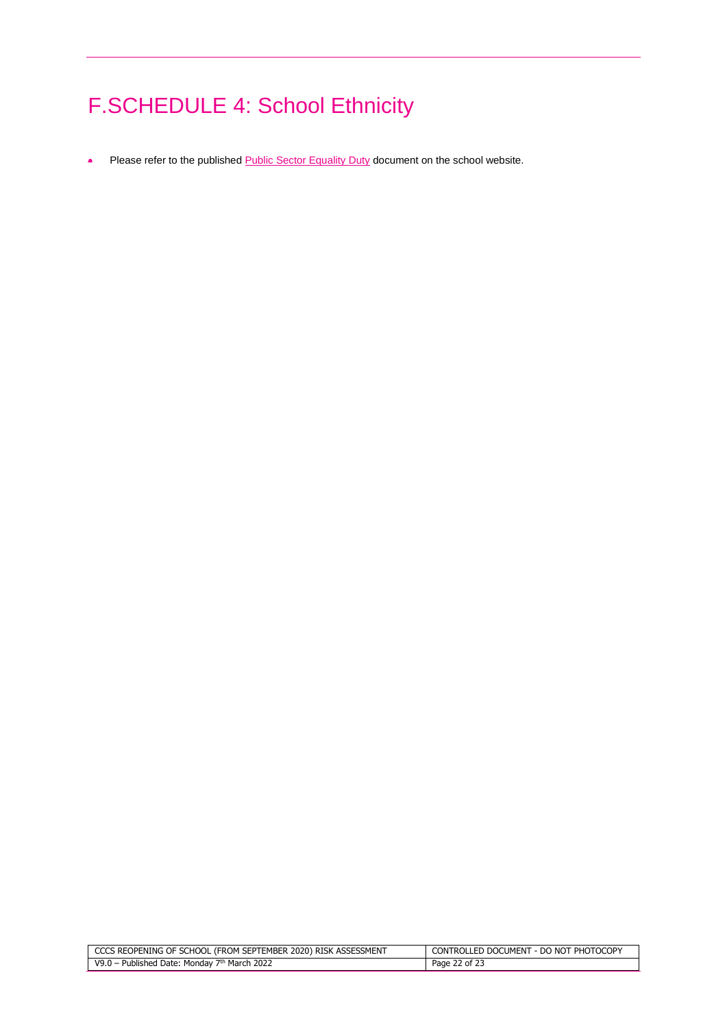# F.SCHEDULE 4: School Ethnicity

• Please refer to the publishe[d Public Sector Equality Duty](https://www.cooperscoborn.org.uk/wp-content/uploads/2020/03/Public-Sector-Equality-Duty_2020_draft.pdf) document on the school website.

| G OF SCHOOL (FROM SEPTEMBER 2020) RISK ASSESSMENT                  | : - DO NOT PHOTOCOPY |
|--------------------------------------------------------------------|----------------------|
| REOPENING (                                                        | CONTROLLED DOCUMENT  |
| 2022<br>$V9.0 -$<br>Published Date:<br>Mondav<br>March<br><b>7</b> | Page<br>2 of .       |